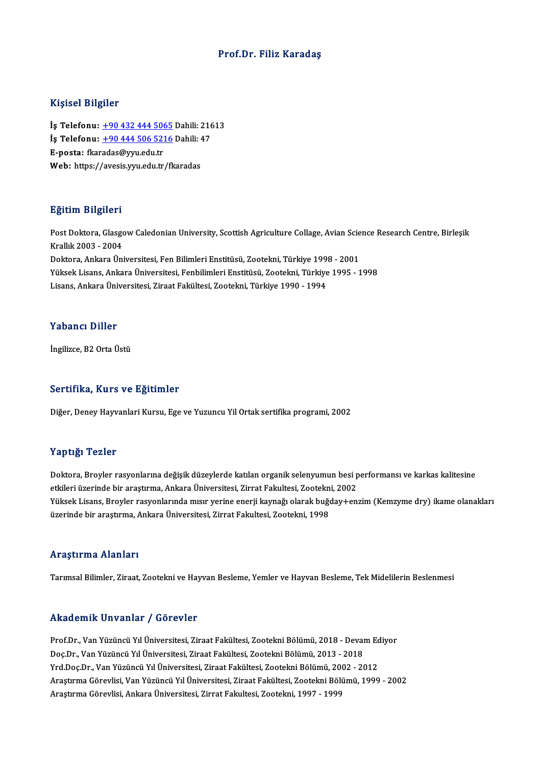### Prof.Dr. Filiz Karadaş

### Kişisel Bilgiler

İş Telefonu: +90 432 444 5065 Dahili: 21613 11191001 D1191101<br>İş Telefonu: <u>+90 432 444 5065</u> Dahili: 216<br>İş Telefonu: <u>+90 444 506 5216</u> Dahili: 47 İş Telefonu: <u>+90 432 444 506</u><br>İş Telefonu: <u>+90 444 506 521</u><br>E-posta: fkar[adas@yyu.edu.tr](tel:+90 444 506 5216)<br>Web: https://avesis.yru.edu.tr İş Telefonu: <u>+90 444 506 5216</u> Dahili: 4<br>E-posta: fkaradas@yyu.edu.tr<br>Web: https://avesis.yyu.edu.tr/fkaradas

### Eğitim Bilgileri

**Eğitim Bilgileri**<br>Post Doktora, Glasgow Caledonian University, Scottish Agriculture Collage, Avian Science Research Centre, Birleşik<br>Krallık 2003 - 2004 2<br>Post Doktora, Glasgo<br>Krallık 2003 - 2004<br>Doktora, Ankara Ün Post Doktora, Glasgow Caledonian University, Scottish Agriculture Collage, Avian Scie<br>Krallık 2003 - 2004<br>Doktora, Ankara Üniversitesi, Fen Bilimleri Enstitüsü, Zootekni, Türkiye 1998 - 2001<br>Vülgek Lisans, Ankara Üniversit Krallık 2003 - 2004<br>Doktora, Ankara Üniversitesi, Fen Bilimleri Enstitüsü, Zootekni, Türkiye 1998 - 2001<br>Yüksek Lisans, Ankara Üniversitesi, Fenbilimleri Enstitüsü, Zootekni, Türkiye 1995 - 1998<br>Lisans, Ankara Üniversitesi Doktora, Ankara Üniversitesi, Fen Bilimleri Enstitüsü, Zootekni, Türkiye 199<br>Yüksek Lisans, Ankara Üniversitesi, Fenbilimleri Enstitüsü, Zootekni, Türkiye<br>Lisans, Ankara Üniversitesi, Ziraat Fakültesi, Zootekni, Türkiye 19 Lisans, Ankara Üniversitesi, Ziraat Fakültesi, Zootekni, Türkiye 1990 - 1994<br>Yabancı Diller

İngilizce, B2 Orta Üstü

### Sertifika, Kurs ve Eğitimler

Diğer, Deney Hayvanlari Kursu, Ege ve Yuzuncu Yil Ortak sertifika programi, 2002

### Yaptığı Tezler

Yaptığı Tezler<br>Doktora, Broyler rasyonlarına değişik düzeylerde katılan organik selenyumun besi performansı ve karkas kalitesine<br>Strilari üzerinde bir arastırma, Ankara Üniversitesi, Zirrat Falultasi, Zastelmi, 2002. eta pergeri selasar<br>Doktora, Broyler rasyonlarına değişik düzeylerde katılan organik selenyumun besi p<br>etkileri üzerinde bir araştırma, Ankara Üniversitesi, Zirrat Fakultesi, Zootekni, 2002<br>Vülteek Lisene, Broyler resyonla Doktora, Broyler rasyonlarına değişik düzeylerde katılan organik selenyumun besi performansı ve karkas kalitesine<br>etkileri üzerinde bir araştırma, Ankara Üniversitesi, Zirrat Fakultesi, Zootekni, 2002<br>Yüksek Lisans, Broyle etkileri üzerinde bir araştırma, Ankara Üniversitesi, Zirrat Fakultesi, Zootekn<br>Yüksek Lisans, Broyler rasyonlarında mısır yerine enerji kaynağı olarak buğ<br>üzerinde bir araştırma, Ankara Üniversitesi, Zirrat Fakultesi, Zoo üzerinde bir araştırma, Ankara Üniversitesi, Zirrat Fakultesi, Zootekni, 1998<br>Araştırma Alanları

Tarımsal Bilimler, Ziraat, Zootekni ve Hayvan Besleme, Yemler ve Hayvan Besleme, Tek Midelilerin Beslenmesi

### Akademik Unvanlar / Görevler

Akademik Unvanlar / Görevler<br>Prof.Dr., Van Yüzüncü Yıl Üniversitesi, Ziraat Fakültesi, Zootekni Bölümü, 2018 - Devam Ediyor<br>Des Dr. Van Yüzüncü Yıl Üniversitesi, Ziraat Fakültesi, Zootekni Bölümü, 2013 - 2019 rındu olirin "Əli vulitdi" / "Ələ evler"<br>Prof.Dr., Van Yüzüncü Yıl Üniversitesi, Ziraat Fakültesi, Zootekni Bölümü, 2018 - Deval<br>Doç.Dr., Van Yüzüncü Yıl Üniversitesi, Ziraat Fakültesi, Zootekni Bölümü, 2003 - 2018<br>Yrd Doo Prof.Dr., Van Yüzüncü Yıl Üniversitesi, Ziraat Fakültesi, Zootekni Bölümü, 2018 - Devam Ec<br>Doç.Dr., Van Yüzüncü Yıl Üniversitesi, Ziraat Fakültesi, Zootekni Bölümü, 2013 - 2018<br>Yrd.Doç.Dr., Van Yüzüncü Yıl Üniversitesi, Zi Doç.Dr., Van Yüzüncü Yıl Üniversitesi, Ziraat Fakültesi, Zootekni Bölümü, 2013 - 2018<br>Yrd.Doç.Dr., Van Yüzüncü Yıl Üniversitesi, Ziraat Fakültesi, Zootekni Bölümü, 2002 - 2012<br>Araştırma Görevlisi, Van Yüzüncü Yıl Üniversit Yrd.Doç.Dr., Van Yüzüncü Yıl Üniversitesi, Ziraat Fakültesi, Zootekni Bölümü, 200<br>Araştırma Görevlisi, Van Yüzüncü Yıl Üniversitesi, Ziraat Fakültesi, Zootekni Bölü<br>Araştırma Görevlisi, Ankara Üniversitesi, Zirrat Fakultes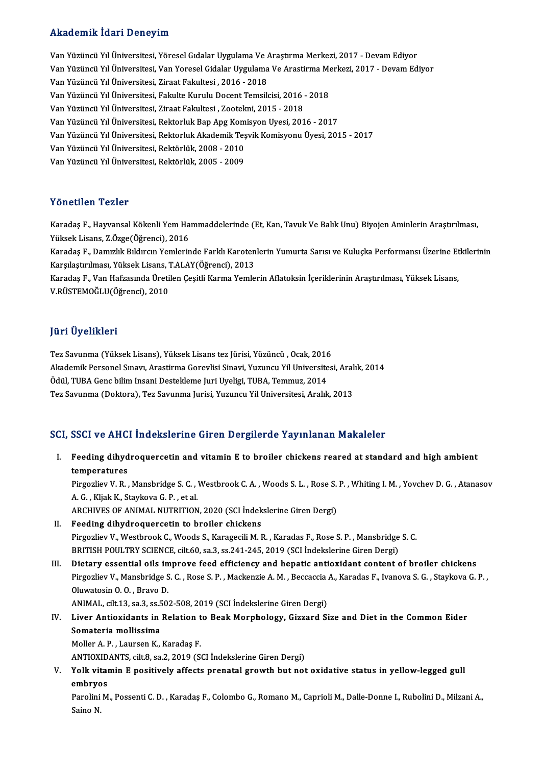## Akademik İdari Deneyim

Akademik İdari Deneyim<br>Van Yüzüncü Yıl Üniversitesi, Yöresel Gıdalar Uygulama Ve Araştırma Merkezi, 2017 - Devam Ediyor<br>Van Yüzüncü Yıl Üniversitesi, Yan Yarasal Gidalar Uygulama Ve Araştırma Merkezi, 2017 - Devam Ediyor YANAQ OMAN YORAY D'ONOYAN<br>Van Yüzüncü Yıl Üniversitesi, Yöresel Gıdalar Uygulama Ve Araştırma Merkezi, 2017 - Devam Ediyor<br>Van Yüzüncü Yıl Üniversitesi, Van Yoresel Gidalar Uygulama Ve Arastirma Merkezi, 2017 - Devam Ediyo Van Yüzüncü Yıl Üniversitesi, Yöresel Gıdalar Uygulama Ve *I*<br>Van Yüzüncü Yıl Üniversitesi, Van Yoresel Gidalar Uygulama<br>Van Yüzüncü Yıl Üniversitesi, Ziraat Fakultesi , 2016 - 2018<br>Van Yüzüncü Yıl Üniversitesi, Eakulte Ku Van Yüzüncü Yıl Üniversitesi, Van Yoresel Gidalar Uygulama Ve Arastirma Me<br>Van Yüzüncü Yıl Üniversitesi, Ziraat Fakultesi , 2016 - 2018<br>Van Yüzüncü Yıl Üniversitesi, Fakulte Kurulu Docent Temsilcisi, 2016 - 2018<br>Van Vüzünc Van Yüzüncü Yıl Üniversitesi, Ziraat Fakultesi , 2016 - 2018<br>Van Yüzüncü Yıl Üniversitesi, Fakulte Kurulu Docent Temsilcisi, 2016 -<br>Van Yüzüncü Yıl Üniversitesi, Ziraat Fakultesi , Zootekni, 2015 - 2018<br>Van Yüzüncü Yıl Üni Van Yüzüncü Yıl Üniversitesi, Fakulte Kurulu Docent Temsilcisi, 2016 - 2018<br>Van Yüzüncü Yıl Üniversitesi, Ziraat Fakultesi , Zootekni, 2015 - 2018<br>Van Yüzüncü Yıl Üniversitesi, Rektorluk Algelomik Tesvik Komisyonu Üyesi, 2 Van Yüzüncü Yıl Üniversitesi, Ziraat Fakultesi , Zootekni, 2015 - 2018<br>Van Yüzüncü Yıl Üniversitesi, Rektorluk Bap Apg Komisyon Uyesi, 2016 - 2017<br>Van Yüzüncü Yıl Üniversitesi, Rektorluk Akademik Teşvik Komisyonu Üyesi, 20 Van Yüzüncü Yıl Üniversitesi, Rektorluk Bap Apg Kom<br>Van Yüzüncü Yıl Üniversitesi, Rektorluk Akademik Teş<br>Van Yüzüncü Yıl Üniversitesi, Rektörlük, 2008 - 2009<br>Van Yüzüncü Yıl Üniversitesi, Rektörlük, 2005 - 2009 Van Yüzüncü Yıl Üniversitesi, Rektorluk Akademik Teş<br>Van Yüzüncü Yıl Üniversitesi, Rektörlük, 2008 - 2010<br>Van Yüzüncü Yıl Üniversitesi, Rektörlük, 2005 - 2009 Van Yüzüncü Yıl Üniversitesi, Rektörlük, 2005 - 2009<br>Yönetilen Tezler

Karadaş F., Hayvansal Kökenli Yem Hammaddelerinde (Et, Kan, Tavuk Ve Balık Unu) Biyojen Aminlerin Araştırılması, Yüksek Lisans, Z.Özge(Öğrenci), 2016 Karadaş F., Hayvansal Kökenli Yem Hammaddelerinde (Et, Kan, Tavuk Ve Balık Unu) Biyojen Aminlerin Araştırılması,<br>Yüksek Lisans, Z.Özge(Öğrenci), 2016<br>Karadaş F., Damızlık Bıldırcın Yemlerinde Farklı Karotenlerin Yumurta Sa

Yüksek Lisans, Z.Özge(Öğrenci), 2016<br>Karadaş F., Damızlık Bıldırcın Yemlerinde Farklı Karoten<br>Karşılaştırılması, Yüksek Lisans, T.ALAY(Öğrenci), 2013<br>Karadas E. Van Hafrasında Üretilen Cesitli Karma Yomle Karadaş F., Damızlık Bıldırcın Yemlerinde Farklı Karotenlerin Yumurta Sarısı ve Kuluçka Performansı Üzerine Et<br>Karşılaştırılması, Yüksek Lisans, T.ALAY(Öğrenci), 2013<br>Karadaş F., Van Hafzasında Üretilen Çeşitli Karma Yemle

Karşılaştırılması, Yüksek Lisans, T.ALAY(Öğrenci), 2013<br>Karadaş F., Van Hafzasında Üretilen Çeşitli Karma Yemlerin Aflatoksin İçeriklerinin Araştırılması, Yüksek Lisans,<br>V.RÜSTEMOĞLU(Öğrenci), 2010

## JüriÜyelikleri

Tez Savunma (Yüksek Lisans), Yüksek Lisans tez Jürisi, Yüzüncü, Ocak, 2016 Jarr Oyommorr<br>Tez Savunma (Yüksek Lisans), Yüksek Lisans tez Jürisi, Yüzüncü , Ocak, 2016<br>Akademik Personel Sınavı, Arastirma Gorevlisi Sinavi, Yuzuncu Yil Universitesi, Aralık, 2014<br>Ödül TUPA Cene bilim Insani Destaklama Tez Savunma (Yüksek Lisans), Yüksek Lisans tez Jürisi, Yüzüncü , Ocak, 2016<br>Akademik Personel Sınavı, Arastirma Gorevlisi Sinavi, Yuzuncu Yil Universite<br>Ödül, TUBA Genc bilim Insani Destekleme Jurisi Vugungu Yil Universite Akademik Personel Sınavı, Arastirma Gorevlisi Sinavi, Yuzuncu Yil Universitesi, Aral<br>Ödül, TUBA Genc bilim Insani Destekleme Juri Uyeligi, TUBA, Temmuz, 2014<br>Tez Savunma (Doktora), Tez Savunma Jurisi, Yuzuncu Yil Universit

# Tez Savunma (Doktora), Tez Savunma Jurisi, Yuzuncu Yil Universitesi, Aralık, 2013<br>SCI, SSCI ve AHCI İndekslerine Giren Dergilerde Yayınlanan Makaleler

CI, SSCI ve AHCI İndekslerine Giren Dergilerde Yayınlanan Makaleler<br>I. Feeding dihydroquercetin and vitamin E to broiler chickens reared at standard and high ambient<br>tamperatures book ve kkre<br>Feeding dihyd<br>Eingerliev V. P Feeding dihydroquercetin and vitamin E to broiler chickens reared at standard and high ambient<br>temperatures<br>Pirgozliev V. R. , Mansbridge S. C. , Westbrook C. A. , Woods S. L. , Rose S. P. , Whiting I. M. , Yovchev D. G. ,

**temperatures<br>Pirgozliev V. R. , Mansbridge S. C. , 1<br>A. G. , Kljak K., Staykova G. P. , et al.<br>ARCHIVES OF ANIMAL NUTRUTION** Pirgozliev V. R. , Mansbridge S. C. , Westbrook C. A. , Woods S. L. , Rose S.<br>A. G. , Kljak K., Staykova G. P. , et al.<br>ARCHIVES OF ANIMAL NUTRITION, 2020 (SCI İndekslerine Giren Dergi)<br>Fooding dibudroquareatin to broiler

A. G. , Kljak K., Staykova G. P. , et al.<br>ARCHIVES OF ANIMAL NUTRITION, 2020 (SCI İndekslerine Giren Dergi)<br>II. Feeding dihydroquercetin to broiler chickens

- ARCHIVES OF ANIMAL NUTRITION, 2020 (SCI İndekslerine Giren Dergi)<br>Feeding dihydroquercetin to broiler chickens<br>Pirgozliev V., Westbrook C., Woods S., Karagecili M. R. , Karadas F., Rose S. P. , Mansbridge S. C.<br>PRITISH DOU Feeding dihydroquercetin to broiler chickens<br>Pirgozliev V., Westbrook C., Woods S., Karagecili M. R. , Karadas F., Rose S. P. , Mansbridge<br>BRITISH POULTRY SCIENCE, cilt.60, sa.3, ss.241-245, 2019 (SCI İndekslerine Giren De
- BRITISH POULTRY SCIENCE, cilt.60, sa.3, ss.241-245, 2019 (SCI Indekslerine Giren Dergi)<br>III. Dietary essential oils improve feed efficiency and hepatic antioxidant content of broiler chickens BRITISH POULTRY SCIENCE, cilt.60, sa.3, ss.241-245, 2019 (SCI İndekslerine Giren Dergi)<br>Dietary essential oils improve feed efficiency and hepatic antioxidant content of broiler chickens<br>Pirgozliev V., Mansbridge S. C. , R Dietary essential oils im<br>Pirgozliev V., Mansbridge S<br>Oluwatosin O. O., Bravo D.<br>ANIMAL cilt 12, 22, 25, 50. Pirgozliev V., Mansbridge S. C. , Rose S. P. , Mackenzie A. M. , Beccaccia<br>Oluwatosin O. O. , Bravo D.<br>ANIMAL, cilt.13, sa.3, ss.502-508, 2019 (SCI İndekslerine Giren Dergi)<br>Liver Antioxidente in Belation to Beak Mannheleg

Oluwatosin O. O. , Bravo D.<br>ANIMAL, cilt.13, sa.3, ss.502-508, 2019 (SCI İndekslerine Giren Dergi)<br>IV. Liver Antioxidants in Relation to Beak Morphology, Gizzard Size and Diet in the Common Eider<br>Semateria melliasime ANIMAL, cilt.13, sa.3, ss.502-508, 2019 (SCI Indekslerine Giren Dergi)<br>Liver Antioxidants in Relation to Beak Morphology, Gizzard S<br>Somateria mollissima<br>Moller A. P., Laursen K., Karadas F. Liver Antioxidants in Relation t<br>Somateria mollissima<br>Moller A. P. , Laursen K., Karadaş F.<br>ANTIOVIDANTS silt 9, ss 2, 2010 (S. Somateria mollissima<br>Moller A. P. , Laursen K., Karadaş F.<br>ANTIOXIDANTS, cilt.8, sa.2, 2019 (SCI İndekslerine Giren Dergi)<br>Yolk vitamin E nositively affects prenatal spouth but not

Moller A. P. , Laursen K., Karadaş F.<br>ANTIOXIDANTS, cilt.8, sa.2, 2019 (SCI İndekslerine Giren Dergi)<br>V. Yolk vitamin E positively affects prenatal growth but not oxidative status in yellow-legged gull<br>ombrues ANTIOXID<br>Yolk vital<br>embryos<br><sup>Parolini M</sup> Yolk vitamin E positively affects prenatal growth but not oxidative status in yellow-legged gull<br>embryos<br>Parolini M., Possenti C. D. , Karadaş F., Colombo G., Romano M., Caprioli M., Dalle-Donne I., Rubolini D., Milzani A.

embryos<br>Parolini M., Possenti C. D. , Karadaş F., Colombo G., Romano M., Caprioli M., Dalle-Donne I., Rubolini D., Milzani A.,<br>Saino N.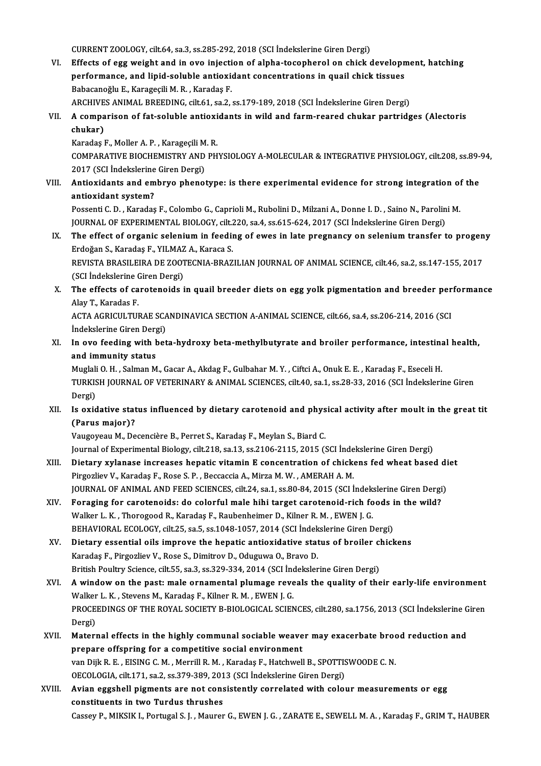CURRENT ZOOLOGY, cilt.64, sa.3, ss.285-292, 2018 (SCI İndekslerine Giren Dergi)

CURRENT ZOOLOGY, cilt.64, sa.3, ss.285-292, 2018 (SCI Indekslerine Giren Dergi)<br>VI. Effects of egg weight and in ovo injection of alpha-tocopherol on chick development, hatching<br>Refermance and linid soluble entiquidant con CURRENT ZOOLOGY, cilt.64, sa.3, ss.285-292, 2018 (SCI İndekslerine Giren Dergi)<br>Effects of egg weight and in ovo injection of alpha-tocopherol on chick developn<br>performance, and lipid-soluble antioxidant concentrations in Effects of egg weight and in ovo injecti<br>performance, and lipid-soluble antioxie<br>Babacanoğlu E., Karageçili M. R., Karadaş F.<br>ARCHIVES ANIMAL PREEDING silt 61, 82,2 performance, and lipid-soluble antioxidant concentrations in quail chick tissues<br>Babacanoğlu E., Karageçili M. R. , Karadaş F.<br>ARCHIVES ANIMAL BREEDING, cilt.61, sa.2, ss.179-189, 2018 (SCI İndekslerine Giren Dergi)<br>A semn Babacanoğlu E., Karageçili M. R. , Karadaş F.<br>ARCHIVES ANIMAL BREEDING, cilt.61, sa.2, ss.179-189, 2018 (SCI İndekslerine Giren Dergi)<br>VII. A comparison of fat-soluble antioxidants in wild and farm-reared chukar partri

ARCHIVE<br>A compa<br>chukar)<br>Karadas l A comparison of fat-soluble antioxi<br>chukar)<br>Karadaş F., Moller A. P. , Karageçili M. R.<br>COMBARATIVE PIOCHEMISTRY AND BH

chukar)<br>Karadaş F., Moller A. P. , Karageçili M. R.<br>COMPARATIVE BIOCHEMISTRY AND PHYSIOLOGY A-MOLECULAR & INTEGRATIVE PHYSIOLOGY, cilt.208, ss.89-94,<br>2017 (SCL İndekslerine Giren Dergi) Karadaş F., Moller A. P. , Karageçili M<br>COMPARATIVE BIOCHEMISTRY AND<br>2017 (SCI İndekslerine Giren Dergi) COMPARATIVE BIOCHEMISTRY AND PHYSIOLOGY A-MOLECULAR & INTEGRATIVE PHYSIOLOGY, cilt.208, ss.89-<br>2017 (SCI Indekslerine Giren Dergi)<br>VIII. Antioxidants and embryo phenotype: is there experimental evidence for strong integrat

2017 (SCI Indekslerine<br>Antioxidants and em<br>antioxidant system? Antioxidants and embryo phenotype: is there experimental evidence for strong integration of<br>antioxidant system?<br>Possenti C. D. , Karadaş F., Colombo G., Caprioli M., Rubolini D., Milzani A., Donne I. D. , Saino N., Parolin

antioxidant system?<br>Possenti C. D. , Karadaş F., Colombo G., Caprioli M., Rubolini D., Milzani A., Donne I. D. , Saino N., Parolin<br>JOURNAL OF EXPERIMENTAL BIOLOGY, cilt.220, sa.4, ss.615-624, 2017 (SCI İndekslerine Giren D Possenti C. D. , Karadaş F., Colombo G., Caprioli M., Rubolini D., Milzani A., Donne I. D. , Saino N., Parolini M.<br>JOURNAL OF EXPERIMENTAL BIOLOGY, cilt.220, sa.4, ss.615-624, 2017 (SCI İndekslerine Giren Dergi)<br>IX. The ef

- JOURNAL OF EXPERIMENTAL BIOLOGY, cilt.<br>The effect of organic selenium in feedin<br>Erdoğan S., Karadaş F., YILMAZ A., Karaca S.<br>REVISTA PRASILEIRA DE ZOOTECNIA PRAZ The effect of organic selenium in feeding of ewes in late pregnancy on selenium transfer to progen<br>Erdoğan S., Karadaş F., YILMAZ A., Karaca S.<br>REVISTA BRASILEIRA DE ZOOTECNIA-BRAZILIAN JOURNAL OF ANIMAL SCIENCE, cilt.46, Erdoğan S., Karadaş F., YILMAZ A., Karaca S.<br>REVISTA BRASILEIRA DE ZOOTECNIA-BRAZILIAN JOURNAL OF ANIMAL SCIENCE, cilt.46, sa.2, ss.147-155, 2017<br>(SCI İndekslerine Giren Dergi)
- REVISTA BRASILEIRA DE ZOOTECNIA-BRAZILIAN JOURNAL OF ANIMAL SCIENCE, cilt.46, sa.2, ss.147-155, 2017<br>(SCI İndekslerine Giren Dergi)<br>X. The effects of carotenoids in quail breeder diets on egg yolk pigmentation and breeder (SCI Indekslerine C)<br>The effects of ca<br>Alay T., Karadas F.<br>ACTA ACRICULTUL The effects of carotenoids in quail breeder diets on egg yolk pigmentation and breeder per<br>Alay T., Karadas F.<br>ACTA AGRICULTURAE SCANDINAVICA SECTION A-ANIMAL SCIENCE, cilt.66, sa.4, ss.206-214, 2016 (SCI<br>Indekslerine Cire

Alay T., Karadas F.<br>ACTA AGRICULTURAE SCANDINAVICA SECTION A-ANIMAL SCIENCE, cilt.66, sa.4, ss.206-214, 2016 (SCI<br>İndekslerine Giren Dergi) ACTA AGRICULTURAE SCANDINAVICA SECTION A-ANIMAL SCIENCE, cilt.66, sa.4, ss.206-214, 2016 (SCI<br>Indekslerine Giren Dergi)<br>XI. In ovo feeding with beta-hydroxy beta-methylbutyrate and broiler performance, intestinal health,<br>a

Indekslerine Giren Derg<br>In ovo feeding with l<br>and immunity status<br>Muglali O. H. Salman M In ovo feeding with beta-hydroxy beta-methylbutyrate and broiler performance, intestina<br>and immunity status<br>Muglali O. H. , Salman M., Gacar A., Akdag F., Gulbahar M. Y. , Ciftci A., Onuk E. E. , Karadaş F., Eseceli H.<br>TUR

and immunity status<br>Muglali O. H. , Salman M., Gacar A., Akdag F., Gulbahar M. Y. , Ciftci A., Onuk E. E. , Karadaş F., Eseceli H.<br>TURKISH JOURNAL OF VETERINARY & ANIMAL SCIENCES, cilt.40, sa.1, ss.28-33, 2016 (SCI İndeksl Muglali<br>TURKIS<br>Dergi)<br>Is avid TURKISH JOURNAL OF VETERINARY & ANIMAL SCIENCES, cilt.40, sa.1, ss.28-33, 2016 (SCI İndekslerine Giren<br>Dergi)<br>XII. Is oxidative status influenced by dietary carotenoid and physical activity after moult in the great tit<br>(Pa

## Dergi)<br>Is oxidative stat<br>(Parus major)?<br>Vougovoov M. Do

(Parus major)?<br>Vaugoyeau M., Decencière B., Perret S., Karadaş F., Meylan S., Biard C. Journal of Experimental Biology, cilt.218, sa.13, ss.2106-2115, 2015 (SCI İndekslerine Giren Dergi) Vaugoyeau M., Decencière B., Perret S., Karadaş F., Meylan S., Biard C.<br>Journal of Experimental Biology, cilt.218, sa.13, ss.2106-2115, 2015 (SCI İndekslerine Giren Dergi)<br>XIII. Dietary xylanase increases hepatic vitamin E

- Journal of Experimental Biology, cilt.218, sa.13, ss.2106-2115, 2015 (SCI Inde<br>Dietary xylanase increases hepatic vitamin E concentration of chick<br>Pirgozliev V., Karadaş F., Rose S. P. , Beccaccia A., Mirza M. W. , AMERAH Dietary xylanase increases hepatic vitamin E concentration of chickens fed wheat based di<br>Pirgozliev V., Karadaş F., Rose S. P. , Beccaccia A., Mirza M. W. , AMERAH A. M.<br>JOURNAL OF ANIMAL AND FEED SCIENCES, cilt.24, sa.1, Pirgozliev V., Karadaş F., Rose S. P., Beccaccia A., Mirza M. W., AMERAH A. M.<br>JOURNAL OF ANIMAL AND FEED SCIENCES, cilt.24, sa.1, ss.80-84, 2015 (SCI İndekslerine Giren Dergi<br>XIV. Foraging for carotenoids: do colorful mal
- JOURNAL OF ANIMAL AND FEED SCIENCES, cilt.24, sa.1, ss.80-84, 2015 (SCI Indekslerine Giren Dergi)<br>Foraging for carotenoids: do colorful male hihi target carotenoid-rich foods in the wild?<br>Walker L. K. , Thorogood R., Karad Foraging for carotenoids: do colorful male hihi target carotenoid-rich foods i<br>Walker L. K. , Thorogood R., Karadaş F., Raubenheimer D., Kilner R. M. , EWEN J. G.<br>BEHAVIORAL ECOLOGY, cilt.25, sa.5, ss.1048-1057, 2014 (SCI Walker L. K., Thorogood R., Karadaş F., Raubenheimer D., Kilner R. M., EWEN J. G.<br>BEHAVIORAL ECOLOGY, cilt.25, sa.5, ss.1048-1057, 2014 (SCI İndekslerine Giren Dergi)<br>XV. Dietary essential oils improve the hepatic antioxid
- BEHAVIORAL ECOLOGY, cilt.25, sa.5, ss.1048-1057, 2014 (SCI İndek<br>Dietary essential oils improve the hepatic antioxidative stat<br>Karadaş F., Pirgozliev V., Rose S., Dimitrov D., Oduguwa O., Bravo D.<br>Pritish Poultry Science, Dietary essential oils improve the hepatic antioxidative status of broiler cl<br>Karadaş F., Pirgozliev V., Rose S., Dimitrov D., Oduguwa O., Bravo D.<br>British Poultry Science, cilt.55, sa.3, ss.329-334, 2014 (SCI İndekslerine Karadaş F., Pirgozliev V., Rose S., Dimitrov D., Oduguwa O., Bravo D.<br>British Poultry Science, cilt.55, sa.3, ss.329-334, 2014 (SCI İndekslerine Giren Dergi)<br>XVI. A window on the past: male ornamental plumage reveals the q
- British Poultry Science, cilt.55, sa.3, ss.329-334, 2014 (SCI İnc<br>A window on the past: male ornamental plumage reve<br>Walker L. K. , Stevens M., Karadaş F., Kilner R. M. , EWEN J. G.<br>PROCEEDINCS OF THE POVAL SOCIETY P. PIOL A window on the past: male ornamental plumage reveals the quality of their early-life environment<br>Walker L. K. , Stevens M., Karadaş F., Kilner R. M. , EWEN J. G.<br>PROCEEDINGS OF THE ROYAL SOCIETY B-BIOLOGICAL SCIENCES, cil Walker L. K. , Stevens M., Karadaş F., Kilner R. M. , EWEN J. G.<br>PROCEEDINGS OF THE ROYAL SOCIETY B-BIOLOGICAL SCIENCES, cilt.280, sa.1756, 2013 (SCI İndekslerine Giren<br>Dergi) PROCEEDINGS OF THE ROYAL SOCIETY B-BIOLOGICAL SCIENCES, cilt.280, sa.1756, 2013 (SCI İndekslerine G<br>Dergi)<br>XVII. Maternal effects in the highly communal sociable weaver may exacerbate brood reduction and<br>nunanane offensing
- Dergi)<br>Maternal effects in the highly communal sociable weave<br>prepare offspring for a competitive social environment<br>von Diik B. E. FISING G.M. Morrill B.M. Karadas E. Hatabuall Maternal effects in the highly communal sociable weaver may exacerbate broor<br>prepare offspring for a competitive social environment<br>van Dijk R. E. , EISING C. M. , Merrill R. M. , Karadaş F., Hatchwell B., SPOTTISWOODE C. prepare offspring for a competitive social environment<br>van Dijk R. E., EISING C. M., Merrill R. M., Karadaş F., Hatchwell B., SPOTTISWOODE C. N. OECOLOGIA, cilt.171, sa.2, ss.379-389, 2013 (SCI Indekslerine Giren Dergi)
- XVIII. Avian eggshell pigments are not consistently correlated with colour measurements or egg<br>constituents in two Turdus thrushes Cassey P., MIKSIK I., Portugal S. J. , Maurer G., EWEN J. G. , ZARATE E., SEWELL M. A. , Karadaş F., GRIM T., HAUBER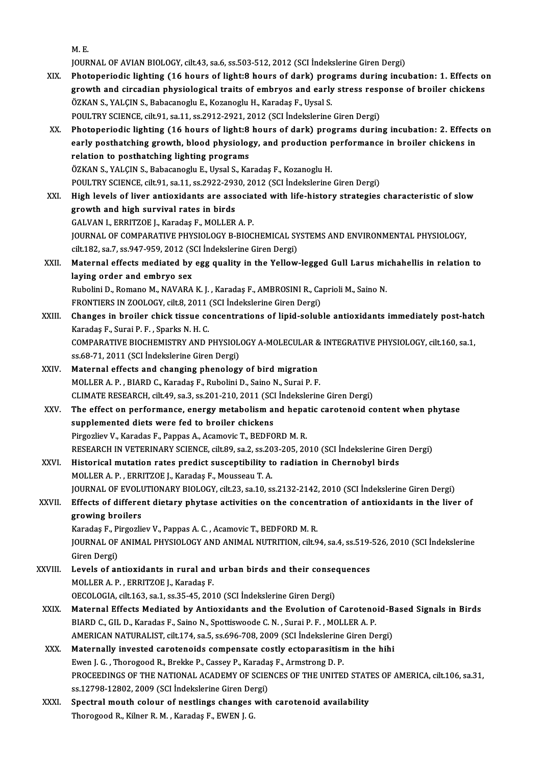M.E.

JOURNAL OF AVIAN BIOLOGY, cilt.43, sa.6, ss.503-512, 2012 (SCI İndekslerine Giren Dergi)

- XIX. Photoperiodic lighting (16 hours of light:8 hours of dark) programs during incubation: 1. Effects on JOURNAL OF AVIAN BIOLOGY, cilt.43, sa.6, ss.503-512, 2012 (SCI İndekslerine Giren Dergi)<br>Photoperiodic lighting (16 hours of light:8 hours of dark) programs during incubation: 1. Effects of<br>growth and circadian physiologic Photoperiodic lighting (16 hours of light:8 hours of dark) pro<br>growth and circadian physiological traits of embryos and early<br>ÖZKAN S., YALÇIN S., Babacanoglu E., Kozanoglu H., Karadaş F., Uysal S.<br>POULTPV SCIENCE ci<sup>lt 91</sup> growth and circadian physiological traits of embryos and early stress resp<br>ÖZKAN S., YALÇIN S., Babacanoglu E., Kozanoglu H., Karadaş F., Uysal S.<br>POULTRY SCIENCE, cilt.91, sa.11, ss.2912-2921, 2012 (SCI İndekslerine Giren ÖZKAN S., YALÇIN S., Babacanoglu E., Kozanoglu H., Karadaş F., Uysal S.<br>POULTRY SCIENCE, cilt.91, sa.11, ss.2912-2921, 2012 (SCI İndekslerine Giren Dergi)<br>XX. Photoperiodic lighting (16 hours of light:8 hours of dark) prog
- POULTRY SCIENCE, cilt.91, sa.11, ss.2912-2921, 2012 (SCI İndekslerine Giren Dergi)<br>Photoperiodic lighting (16 hours of light:8 hours of dark) programs during incubation: 2. Effects<br>early posthatching growth, blood physiolo Photoperiodic lighting (16 hours of light:8<br>early posthatching growth, blood physiolog<br>relation to posthatching lighting programs<br>07KAN S. XALCIN S. Pebecapedu E. Urgel S. Ka early posthatching growth, blood physiology, and production performance in broiler chickens in<br>relation to posthatching lighting programs<br>ÖZKAN S., YALÇIN S., Babacanoglu E., Uysal S., Karadaş F., Kozanoglu H. relation to posthatching lighting programs<br>ÖZKAN S., YALÇIN S., Babacanoglu E., Uysal S., Karadaş F., Kozanoglu H.<br>POULTRY SCIENCE, cilt.91, sa.11, ss.2922-2930, 2012 (SCI İndekslerine Giren Dergi)<br>Hish lavals of liver art
- XXI. High levels of liver antioxidants are associated with life-history strategies characteristic of slow POULTRY SCIENCE, cilt.91, sa.11, ss.2922-293<br>High levels of liver antioxidants are ass<br>growth and high survival rates in birds<br>CAUVAN LEPPITZOE LEVaradas E-MOLLEP GALVANI.,ERRITZOEJ.,Karadaş F.,MOLLERA.P. growth and high survival rates in birds<br>GALVAN I., ERRITZOE J., Karadaş F., MOLLER A. P.<br>JOURNAL OF COMPARATIVE PHYSIOLOGY B-BIOCHEMICAL SYSTEMS AND ENVIRONMENTAL PHYSIOLOGY,<br>S<sup>ilt 192</sup>, 23.7, 29.947,959, 2012 (SSL Indeksl GALVAN I., ERRITZOE J., Karadaş F., MOLLER A. P.<br>JOURNAL OF COMPARATIVE PHYSIOLOGY B-BIOCHEMICAL SY<br>cilt.182, sa.7, ss.947-959, 2012 (SCI İndekslerine Giren Dergi)<br>Matarnal offects modiated by egg suality in the Yollow JOURNAL OF COMPARATIVE PHYSIOLOGY B-BIOCHEMICAL SYSTEMS AND ENVIRONMENTAL PHYSIOLOGY,<br>cilt.182, sa.7, ss.947-959, 2012 (SCI Indekslerine Giren Dergi)<br>XXII. Maternal effects mediated by egg quality in the Yellow-legged Gull
- cilt.182, sa.7, ss.947-959, 2012 (S<br>Maternal effects mediated by<br>laying order and embryo sex Maternal effects mediated by egg quality in the Yellow-legged Gull Larus mi<br>laying order and embryo sex<br>Rubolini D., Romano M., NAVARA K. J. , Karadaş F., AMBROSINI R., Caprioli M., Saino N.<br>EPONTIERS IN 7001 0CV gilt 9, 2 laying order and embryo sex<br>Rubolini D., Romano M., NAVARA K. J. , Karadaş F., AMBROSINI R., Caprioli M., Saino N. FRONTIERS IN ZOOLOGY, cilt.8, 2011 (SCI İndekslerine Giren Dergi)
- XXIII. Changes in broiler chick tissue concentrations of lipid-soluble antioxidants immediately post-hatch<br>Karadas F., Surai P. F., Sparks N. H. C. Changes in broiler chick tissue concentrations of lipid-soluble antioxidants immediately post-hate<br>Karadaş F., Surai P. F. , Sparks N. H. C.<br>COMPARATIVE BIOCHEMISTRY AND PHYSIOLOGY A-MOLECULAR & INTEGRATIVE PHYSIOLOGY, cil Karadaş F., Surai P. F. , Sparks N. H. C.<br>COMPARATIVE BIOCHEMISTRY AND PHYSIOL<br>ss.68-71, 2011 (SCI İndekslerine Giren Dergi)<br>Matarnal offests and shansing phanalogy COMPARATIVE BIOCHEMISTRY AND PHYSIOLOGY A-MOLECULAR &<br>ss.68-71, 2011 (SCI Indekslerine Giren Dergi)<br>XXIV. Maternal effects and changing phenology of bird migration<br>MOLLER A.B., PLARD C. Karadas E. Pubelini D. Saine N. Sura
- ss.68-71, 2011 (SCI İndekslerine Giren Dergi)<br>Maternal effects and changing phenology of bird migration<br>MOLLER A. P. , BIARD C., Karadaş F., Rubolini D., Saino N., Surai P. F. CLIMATE RESEARCH, cilt.49, sa.3, ss.201-210, 2011 (SCI İndekslerine Giren Dergi)
- XXV. The effect on performance, energymetabolismand hepatic carotenoid contentwhen phytase supplemented diets were fed to broiler chickens Pirgozliev V., Karadas F., Pappas A., Acamovic T., BEDFORD M.R. RESEARCHINVETERINARYSCIENCE, cilt.89, sa.2, ss.203-205,2010 (SCI İndekslerineGirenDergi) Pirgozliev V., Karadas F., Pappas A., Acamovic T., BEDFORD M. R.<br>RESEARCH IN VETERINARY SCIENCE, cilt.89, sa.2, ss.203-205, 2010 (SCI Indekslerine Gire<br>XXVI. Historical mutation rates predict susceptibility to radiation in
- RESEARCH IN VETERINARY SCIENCE, cilt.89, sa.2, ss.20<br>Historical mutation rates predict susceptibility to<br>MOLLER A. P. , ERRITZOE J., Karadaş F., Mousseau T. A.<br>JOUPNAL OF EVOLUTIONAPY PIOLOCY, silt.22, ss.10, ss Historical mutation rates predict susceptibility to radiation in Chernobyl birds<br>MOLLER A. P. , ERRITZOE J., Karadaş F., Mousseau T. A.<br>JOURNAL OF EVOLUTIONARY BIOLOGY, cilt.23, sa.10, ss.2132-2142, 2010 (SCI İndekslerine MOLLER A. P. , ERRITZOE J., Karadaş F., Mousseau T. A.<br>JOURNAL OF EVOLUTIONARY BIOLOGY, cilt.23, sa.10, ss.2132-2142, 2010 (SCI İndekslerine Giren Dergi)<br>XXVII. Effects of different dietary phytase activities on the concen

## **JOURNAL OF EVOLU<br>Effects of differer<br>growing broilers**<br>Kanadas E. Bingerli Effects of different dietary phytase activities on the concen<br>growing broilers<br>Karadaş F., Pirgozliev V., Pappas A. C. , Acamovic T., BEDFORD M. R.<br>JOUPMAL OF ANIMAL PHYSIOLOCY AND ANIMAL NUTPITION, cilt Q growing broilers<br>Karadaş F., Pirgozliev V., Pappas A. C. , Acamovic T., BEDFORD M. R.<br>JOURNAL OF ANIMAL PHYSIOLOGY AND ANIMAL NUTRITION, cilt.94, sa.4, ss.519-526, 2010 (SCI İndekslerine<br>Ciron Dergi)

Karadaş F., Pi<br>JOURNAL OF<br>Giren Dergi)<br>Lovels of an JOURNAL OF ANIMAL PHYSIOLOGY AND ANIMAL NUTRITION, cilt.94, sa.4, ss.519-<br>Giren Dergi)<br>XXVIII. Levels of antioxidants in rural and urban birds and their consequences<br>MOLLER A.B. ERRITZOE L. Karadas E

- Giren Dergi)<br>Levels of antioxidants in rural and urban birds and their conse<br>MOLLER A. P., ERRITZOE J., Karadaş F.<br>OECOLOGIA, cilt.163, sa.1, ss.35-45, 2010 (SCI İndekslerine Giren Dergi) XXVIII. Levels of antioxidants in rural and urban birds and their consequences
	- MOLLER A. P. , ERRITZOE J., Karadaş F.<br>OECOLOGIA, cilt.163, sa.1, ss.35-45, 2010 (SCI İndekslerine Giren Dergi)<br>XXIX. Maternal Effects Mediated by Antioxidants and the Evolution of Carotenoid-Based Signals in Birds<br>PIABD G OECOLOGIA, cilt.163, sa.1, ss.35-45, 2010 (SCI İndekslerine Giren Dergi)<br>Maternal Effects Mediated by Antioxidants and the Evolution of Caroteno<br>BIARD C., GIL D., Karadas F., Saino N., Spottiswoode C.N. , Surai P. F. , MOL Maternal Effects Mediated by Antioxidants and the Evolution of Carotenoid-B<br>BIARD C., GIL D., Karadas F., Saino N., Spottiswoode C. N. , Surai P. F. , MOLLER A. P.<br>AMERICAN NATURALIST, cilt.174, sa.5, ss.696-708, 2009 (SCI BIARD C., GIL D., Karadas F., Saino N., Spottiswoode C. N., Surai P. F., MOLLER A. P.<br>AMERICAN NATURALIST, cilt.174, sa.5, ss.696-708, 2009 (SCI Indekslerine Giren Dergi)<br>XXX. Maternally invested carotenoids compensate cos
	- AMERICAN NATURALIST, cilt.174, sa.5, ss.696-708, 2009 (SCI İndekslerine<br>Maternally invested carotenoids compensate costly ectoparasitisr<br>Ewen J. G. , Thorogood R., Brekke P., Cassey P., Karadaş F., Armstrong D. P.<br>PROCEEDI PROCEEDINGS OF THE NATIONAL ACADEMY OF SCIENCES OF THE UNITED STATES OF AMERICA, cilt.106, sa.31, Ewen J. G., Thorogood R., Brekke P., Cassey P., Karadas F., Armstrong D. P. ss.12798-12802, 2009 (SCI İndekslerine Giren Dergi).
	- XXXI. Spectral mouth colour of nestlings changes with carotenoid availability<br>Thorogood R., Kilner R. M., Karadas F., EWEN J. G.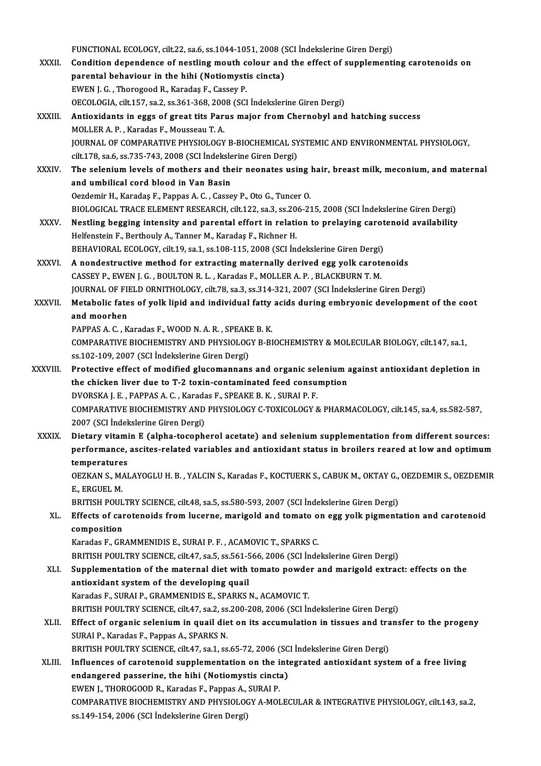FUNCTIONAL ECOLOGY, cilt.22, sa.6, ss.1044-1051, 2008 (SCI İndekslerine Giren Dergi)<br>Condition dependence of postling mouth solour and the effect of cunplementi

- XXXII. Condition dependence of nestling mouth colour and the effect of supplementing carotenoids on<br>parental behaviour in the hihi (Notiomystis cincta) FUNCTIONAL ECOLOGY, cilt.22, sa.6, ss.1044-1051, 2008 (S<br>Condition dependence of nestling mouth colour and<br>parental behaviour in the hihi (Notiomystis cincta)<br>EWEN L.C. Thorogood P. Kanadas E. Cosovy P. EWENJ.G. ,ThorogoodR.,Karadaş F.,CasseyP. parental behaviour in the hihi (Notiomystis cincta)<br>EWEN J. G., Thorogood R., Karadaş F., Cassey P.<br>OECOLOGIA, cilt.157, sa.2, ss.361-368, 2008 (SCI İndekslerine Giren Dergi)<br>Antioxidants in eggs of great tits Parus major XXXIII. Antioxidants in eggs of great tits Parus major from Chernobyl and hatching success MOLLER A. P., Karadas F., Mousseau T. A. OECOLOGIA, cilt.157, sa.2, ss.361-368, 200<br>Antioxidants in eggs of great tits Part<br>MOLLER A. P., Karadas F., Mousseau T. A.<br>JOUPNAL OF COMBARATIVE PHYSIOLOGY
- JOURNAL OF COMPARATIVE PHYSIOLOGY B-BIOCHEMICAL SYSTEMIC AND ENVIRONMENTAL PHYSIOLOGY, cilt.178, sa.6, ss.735-743, 2008 (SCI İndekslerine Giren Dergi) JOURNAL OF COMPARATIVE PHYSIOLOGY B-BIOCHEMICAL SYSTEMIC AND ENVIRONMENTAL PHYSIOLOGY,<br>cilt.178, sa.6, ss.735-743, 2008 (SCI İndekslerine Giren Dergi)<br>XXXIV. The selenium levels of mothers and their neonates using hair, br

cilt.178, sa.6, ss.735-743, 2008 (SCI İndeksle<br>The selenium levels of mothers and the<br>and umbilical cord blood in Van Basin<br>Oerdemir H. Karadas E. Bannas A.C. Casse The selenium levels of mothers and their neonates using 3<br>and umbilical cord blood in Van Basin<br>Oezdemir H., Karadaş F., Pappas A. C. , Cassey P., Oto G., Tuncer O.<br>PIOLOCICAL TRACE ELEMENT RESEARCH silt 122.82.2.82.266.23 and umbilical cord blood in Van Basin<br>Oezdemir H., Karadaş F., Pappas A. C. , Cassey P., Oto G., Tuncer O.<br>BIOLOGICAL TRACE ELEMENT RESEARCH, cilt.122, sa.3, ss.206-215, 2008 (SCI İndekslerine Giren Dergi) Oezdemir H., Karadaş F., Pappas A. C. , Cassey P., Oto G., Tuncer O.<br>BIOLOGICAL TRACE ELEMENT RESEARCH, cilt.122, sa.3, ss.206-215, 2008 (SCI İndekslerine Giren Dergi)<br>XXXV. Nestling begging intensity and parental effort i

- BIOLOGICAL TRACE ELEMENT RESEARCH, cilt.122, sa.3, ss.20<br>Nestling begging intensity and parental effort in relati<br>Helfenstein F., Berthouly A., Tanner M., Karadaş F., Richner H.<br>REHAVIORAL ECOLOCY, silt.19, sa.1, ss.199, 1 Nestling begging intensity and parental effort in relation to prelaying carot<br>Helfenstein F., Berthouly A., Tanner M., Karadaş F., Richner H.<br>BEHAVIORAL ECOLOGY, cilt.19, sa.1, ss.108-115, 2008 (SCI İndekslerine Giren Derg Helfenstein F., Berthouly A., Tanner M., Karadaş F., Richner H.<br>BEHAVIORAL ECOLOGY, cilt.19, sa.1, ss.108-115, 2008 (SCI İndekslerine Giren Dergi)<br>XXXVI. A nondestructive method for extracting maternally derived egg yolk c BEHAVIORAL ECOLOGY, cilt.19, sa.1, ss.108-115, 2008 (SCI İndekslerine Giren Dergi)
- A nondestructive method for extracting maternally derived egg yolk carotenoids<br>CASSEY P., EWEN J. G. , BOULTON R. L. , Karadas F., MOLLER A. P. , BLACKBURN T. M.<br>JOURNAL OF FIELD ORNITHOLOGY, cilt.78, sa.3, ss.314-321, 200 CASSEY P., EWEN J. G. , BOULTON R. L. , Karadas F., MOLLER A. P. , BLACKBURN T. M.<br>JOURNAL OF FIELD ORNITHOLOGY, cilt.78, sa.3, ss.314-321, 2007 (SCI Indekslerine Giren Dergi)<br>XXXVII. Metabolic fates of yolk lipid and indi
- JOURNAL OF FI<br>Metabolic fate<br>and moorhen<br>PAPPAS A.C. K Metabolic fates of yolk lipid and individual fatty<br>and moorhen<br>PAPPAS A. C. , Karadas F., WOOD N. A. R. , SPEAKE B. K.<br>COMPARATIVE PIOCHEMISTRY AND RHYSIOLOCY R. RI
	-

and moorhen<br>PAPPAS A. C. , Karadas F., WOOD N. A. R. , SPEAKE B. K.<br>COMPARATIVE BIOCHEMISTRY AND PHYSIOLOGY B-BIOCHEMISTRY & MOLECULAR BIOLOGY, cilt.147, sa.1,<br>SS.102,109, 2007 (SSL indekslering Giron Dergi) PAPPAS A. C. , Karadas F., WOOD N. A. R. , SPEAK<br>COMPARATIVE BIOCHEMISTRY AND PHYSIOLOG<br>ss.102-109, 2007 (SCI İndekslerine Giren Dergi)<br>Protestive effect of modified slusemannans COMPARATIVE BIOCHEMISTRY AND PHYSIOLOGY B-BIOCHEMISTRY & MOLECULAR BIOLOGY, cilt.147, sa.1,<br>ss.102-109, 2007 (SCI indekslerine Giren Dergi)<br>XXXVIII. Protective effect of modified glucomannans and organic selenium against a

- ss.102-109, 2007 (SCI Indekslerine Giren Dergi)<br>Protective effect of modified glucomannans and organic selenium a<br>the chicken liver due to T-2 toxin-contaminated feed consumption<br>DVORSKAJ E. BARRAS A.C. Karadas E. SREAKE B Protective effect of modified glucomannans and organic self<br>the chicken liver due to T-2 toxin-contaminated feed consu:<br>DVORSKA J. E. , PAPPAS A. C. , Karadas F., SPEAKE B. K. , SURAI P. F.<br>COMBARATIVE PIOCHEMISTRY AND BUY the chicken liver due to T-2 toxin-contaminated feed consumption<br>DVORSKA J. E. , PAPPAS A. C. , Karadas F., SPEAKE B. K. , SURAI P. F.<br>COMPARATIVE BIOCHEMISTRY AND PHYSIOLOGY C-TOXICOLOGY & PHARMACOLOGY, cilt.145, sa.4, ss 2007 (SCI İndekslerine Giren Dergi) COMPARATIVE BIOCHEMISTRY AND PHYSIOLOGY C-TOXICOLOGY & PHARMACOLOGY, cilt.145, sa.4, ss.582-587,<br>2007 (SCI indekslerine Giren Dergi)<br>XXXIX. Dietary vitamin E (alpha-tocopherol acetate) and selenium supplementation from dif
- performance, ascites-related variables and antioxidant status in broilers reared at lowand optimum Dietary vitami<br>performance,<br>temperatures<br>OEZVAN S. MAI performance, ascites-related variables and antioxidant status in broilers reared at low and optimum<br>temperatures<br>OEZKAN S., MALAYOGLU H. B. , YALCIN S., Karadas F., KOCTUERK S., CABUK M., OKTAY G., OEZDEMIR S., OEZDEMIR<br>E.

temperature<br>OEZKAN S., M.<br>E., ERGUEL M.<br>PRITISH POUL OEZKAN S., MALAYOGLU H. B. , YALCIN S., Karadas F., KOCTUERK S., CABUK M., OKTAY G.,<br>E., ERGUEL M.<br>BRITISH POULTRY SCIENCE, cilt.48, sa.5, ss.580-593, 2007 (SCI İndekslerine Giren Dergi)<br>Effecte of caratanoids from lucarne

BRITISH POULTRY SCIENCE, cilt.48, sa.5, ss.580-593, 2007 (SCI Indekslerine Giren Dergi)

E., ERGUEL M.<br>BRITISH POULTRY SCIENCE, cilt.48, sa.5, ss.580-593, 2007 (SCI Indekslerine Giren Dergi)<br>XL. Effects of carotenoids from lucerne, marigold and tomato on egg yolk pigmentation and carotenoid<br>composition

Karadas F., GRAMMENIDIS E., SURAI P. F., ACAMOVIC T., SPARKS C.

BRITISH POULTRY SCIENCE, cilt.47, sa.5, ss.561-566, 2006 (SCI İndekslerine Giren Dergi)

- Karadas F., GRAMMENIDIS E., SURAI P. F. , ACAMOVIC T., SPARKS C.<br>BRITISH POULTRY SCIENCE, cilt47, sa.5, ss.561-566, 2006 (SCI Indekslerine Giren Dergi)<br>XLI. Supplementation of the maternal diet with tomato powder and marig antioxidant system of the developing quail<br>Karadas F., SURAI P., GRAMMENIDIS E., SPARKS N., ACAMOVIC T. Supplementation of the maternal diet with tomato powde<br>antioxidant system of the developing quail<br>Karadas F., SURAI P., GRAMMENIDIS E., SPARKS N., ACAMOVIC T.<br>PRITISH POLU TRY SCIENCE silt 47, sa 2, ss 200, 200, 2006 (SCI antioxidant system of the developing quail<br>Karadas F., SURAI P., GRAMMENIDIS E., SPARKS N., ACAMOVIC T.<br>BRITISH POULTRY SCIENCE, cilt.47, sa.2, ss.200-208, 2006 (SCI İndekslerine Giren Dergi)<br>Effect of organis solonium in Karadas F., SURAI P., GRAMMENIDIS E., SPARKS N., ACAMOVIC T.<br>BRITISH POULTRY SCIENCE, cilt.47, sa.2, ss.200-208, 2006 (SCI Indekslerine Giren Dergi)<br>XLII. Effect of organic selenium in quail diet on its accumulation in tis
- BRITISH POULTRY SCIENCE, cilt.47, sa.2, ss<br>Effect of organic selenium in quail die<br>SURAI P., Karadas F., Pappas A., SPARKS N.<br>PRITISH POULTRY SCIENCE silt 47, sp.1, sp Effect of organic selenium in quail diet on its accumulation in tissues and tra<br>SURAI P., Karadas F., Pappas A., SPARKS N.<br>BRITISH POULTRY SCIENCE, cilt.47, sa.1, ss.65-72, 2006 (SCI İndekslerine Giren Dergi)<br>Influences of SURAI P., Karadas F., Pappas A., SPARKS N.<br>BRITISH POULTRY SCIENCE, cilt.47, sa.1, ss.65-72, 2006 (SCI Indekslerine Giren Dergi)<br>XLIII. Influences of carotenoid supplementation on the integrated antioxidant system of a fre

BRITISH POULTRY SCIENCE, cilt.47, sa.1, ss.65-72, 2006 (SC<br>Influences of carotenoid supplementation on the intendangered passerine, the hihi (Notiomystis cincta)<br>FWEN L THOROCOOD B, Karadas E, Bannas A, SUBALB Influences of carotenoid supplementation on the i<br>endangered passerine, the hihi (Notiomystis cinct.<br>EWEN J., THOROGOOD R., Karadas F., Pappas A., SURAI P.<br>COMBARATIVE PIOCHEMISTRY AND PHYSIOLOCY A MOI EWEN J., THOROGOOD R., Karadas F., Pappas A., SURAI P.

COMPARATIVE BIOCHEMISTRY AND PHYSIOLOGY A-MOLECULAR & INTEGRATIVE PHYSIOLOGY, cilt.143, sa.2,<br>ss.149-154, 2006 (SCI İndekslerine Giren Dergi)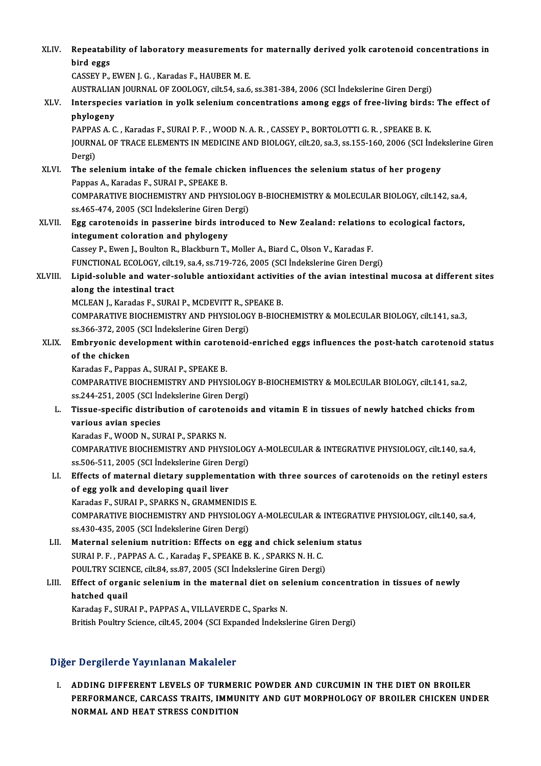| XLIV.   | Repeatability of laboratory measurements for maternally derived yolk carotenoid concentrations in                    |
|---------|----------------------------------------------------------------------------------------------------------------------|
|         | bird eggs                                                                                                            |
|         | CASSEY P., EWEN J. G., Karadas F., HAUBER M. E.                                                                      |
|         | AUSTRALIAN JOURNAL OF ZOOLOGY, cilt.54, sa.6, ss.381-384, 2006 (SCI Indekslerine Giren Dergi)                        |
| XLV.    | Interspecies variation in yolk selenium concentrations among eggs of free-living birds: The effect of<br>phylogeny   |
|         | PAPPAS A. C., Karadas F., SURAI P. F., WOOD N. A. R., CASSEY P., BORTOLOTTI G. R., SPEAKE B. K.                      |
|         | JOURNAL OF TRACE ELEMENTS IN MEDICINE AND BIOLOGY, cilt.20, sa.3, ss.155-160, 2006 (SCI Indekslerine Giren<br>Dergi) |
| XLVI.   | The selenium intake of the female chicken influences the selenium status of her progeny                              |
|         | Pappas A., Karadas F., SURAI P., SPEAKE B.                                                                           |
|         | COMPARATIVE BIOCHEMISTRY AND PHYSIOLOGY B-BIOCHEMISTRY & MOLECULAR BIOLOGY, cilt.142, sa.4,                          |
|         | ss 465-474, 2005 (SCI İndekslerine Giren Dergi)                                                                      |
| XLVII.  | Egg carotenoids in passerine birds introduced to New Zealand: relations to ecological factors,                       |
|         | integument coloration and phylogeny                                                                                  |
|         | Cassey P., Ewen J., Boulton R., Blackburn T., Moller A., Biard C., Olson V., Karadas F.                              |
|         | FUNCTIONAL ECOLOGY, cilt.19, sa.4, ss.719-726, 2005 (SCI Indekslerine Giren Dergi)                                   |
| XLVIII. | Lipid-soluble and water-soluble antioxidant activities of the avian intestinal mucosa at different sites             |
|         | along the intestinal tract                                                                                           |
|         | MCLEAN J., Karadas F., SURAI P., MCDEVITT R., SPEAKE B.                                                              |
|         | COMPARATIVE BIOCHEMISTRY AND PHYSIOLOGY B-BIOCHEMISTRY & MOLECULAR BIOLOGY, cilt.141, sa.3,                          |
| XLIX.   | ss.366-372, 2005 (SCI İndekslerine Giren Dergi)                                                                      |
|         | Embryonic development within carotenoid-enriched eggs influences the post-hatch carotenoid status<br>of the chicken  |
|         | Karadas F., Pappas A., SURAI P., SPEAKE B.                                                                           |
|         | COMPARATIVE BIOCHEMISTRY AND PHYSIOLOGY B-BIOCHEMISTRY & MOLECULAR BIOLOGY, cilt.141, sa.2,                          |
|         | ss.244-251, 2005 (SCI İndekslerine Giren Dergi)                                                                      |
| L.      | Tissue-specific distribution of carotenoids and vitamin E in tissues of newly hatched chicks from                    |
|         | various avian species                                                                                                |
|         | Karadas F., WOOD N., SURAI P., SPARKS N.                                                                             |
|         | COMPARATIVE BIOCHEMISTRY AND PHYSIOLOGY A-MOLECULAR & INTEGRATIVE PHYSIOLOGY, cilt.140, sa.4,                        |
|         | ss.506-511, 2005 (SCI İndekslerine Giren Dergi)                                                                      |
| LI.     | Effects of maternal dietary supplementation with three sources of carotenoids on the retinyl esters                  |
|         | of egg yolk and developing quail liver                                                                               |
|         | Karadas F., SURAI P., SPARKS N., GRAMMENIDIS E.                                                                      |
|         | COMPARATIVE BIOCHEMISTRY AND PHYSIOLOGY A-MOLECULAR & INTEGRATIVE PHYSIOLOGY, cilt.140, sa.4,                        |
|         | ss.430-435, 2005 (SCI İndekslerine Giren Dergi)                                                                      |
| LII.    | Maternal selenium nutrition: Effects on egg and chick selenium status                                                |
|         | SURAI P. F., PAPPAS A. C., Karadaş F., SPEAKE B. K., SPARKS N. H. C.                                                 |
|         | POULTRY SCIENCE, cilt.84, ss.87, 2005 (SCI İndekslerine Giren Dergi)                                                 |
| LIII.   | Effect of organic selenium in the maternal diet on selenium concentration in tissues of newly                        |
|         | hatched quail                                                                                                        |
|         | Karadaş F., SURAI P., PAPPAS A., VILLAVERDE C., Sparks N.                                                            |
|         | British Poultry Science, cilt.45, 2004 (SCI Expanded İndekslerine Giren Dergi)                                       |
|         |                                                                                                                      |

## Diğer Dergilerde Yayınlanan Makaleler

Iğer Dergilerde Yayınlanan Makaleler<br>I. ADDING DIFFERENT LEVELS OF TURMERIC POWDER AND CURCUMIN IN THE DIET ON BROILER<br>REPEOPMANCE CARCASS TRAITS IMMUNITY AND CUT MORRHOLOCY OF PROU ER CHICYEN UNI PERFORMANCE TRYIMANAM MARRICION<br>ADDING DIFFERENT LEVELS OF TURMERIC POWDER AND CURCUMIN IN THE DIET ON BROILER<br>PERFORMANCE, CARCASS TRAITS, IMMUNITY AND GUT MORPHOLOGY OF BROILER CHICKEN UNDER<br>NORMAL AND HEAT STRESS CONDIT ADDING DIFFERENT LEVELS OF TURME<br>PERFORMANCE, CARCASS TRAITS, IMMU<br>NORMAL AND HEAT STRESS CONDITION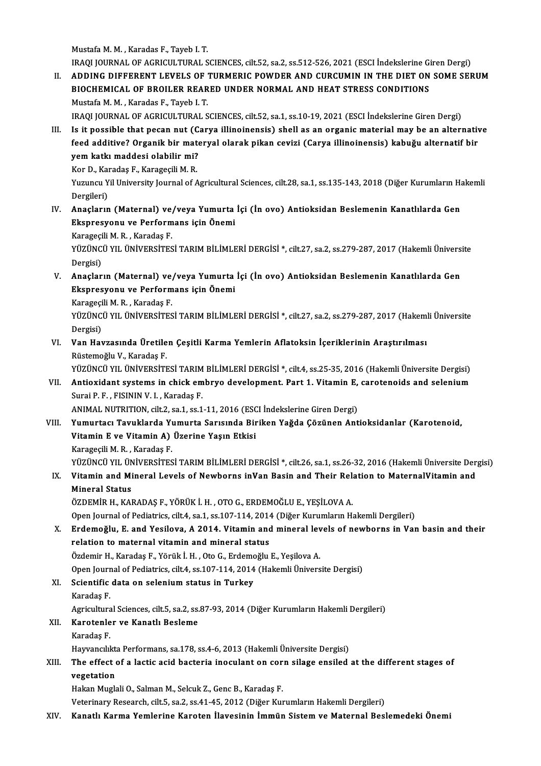MustafaM.M. ,Karadas F.,Tayeb I.T.

Mustafa M. M. , Karadas F., Tayeb I. T.<br>IRAQI JOURNAL OF AGRICULTURAL SCIENCES, cilt.52, sa.2, ss.512-526, 2021 (ESCI İndekslerine Giren Dergi)<br>ADDINC DIEFERENT I EVELS OF TURMERIC ROWDER AND CURCUMIN IN THE DIET ON SOME S II. ADDING DIFFERENT LEVELS OF TURMERIC POWDER AND CURCUMIN IN THE DIET ON SOME SERUM<br>BIOCHEMICAL OF BROILER REARED UNDER NORMAL AND HEAT STRESS CONDITIONS IRAQI JOURNAL OF AGRICULTURAL SCIENCES, cilt.52, sa.2, ss.512-526, 2021 (ESCI İndekslerine Gi<br>ADDING DIFFERENT LEVELS OF TURMERIC POWDER AND CURCUMIN IN THE DIET ON<br>BIOCHEMICAL OF BROILER REARED UNDER NORMAL AND HEAT STRES MustafaM.M. ,Karadas F.,Tayeb I.T. BIOCHEMICAL OF BROILER REARED UNDER NORMAL AND HEAT STRESS CONDITIONS<br>Mustafa M. M. , Karadas F., Tayeb I. T.<br>IRAQI JOURNAL OF AGRICULTURAL SCIENCES, cilt.52, sa.1, ss.10-19, 2021 (ESCI İndekslerine Giren Dergi)<br>Is it noss

Mustafa M. M., Karadas F., Tayeb I. T.<br>IRAQI JOURNAL OF AGRICULTURAL SCIENCES, cilt.52, sa.1, ss.10-19, 2021 (ESCI İndekslerine Giren Dergi)<br>III. Is it possible that pecan nut (Carya illinoinensis) shell as an organic mate IRAQI JOURNAL OF AGRICULTURAL SCIENCES, cilt.52, sa.1, ss.10-19, 2021 (ESCI İndekslerine Giren Dergi)<br>Is it possible that pecan nut (Carya illinoinensis) shell as an organic material may be an alternatif<br>feed additive? Org Is it possible that pecan nut (C)<br>feed additive? Organik bir mate<br>yem katkı maddesi olabilir mi?<br>Kar D, Karadas E, Karagesili M, B feed additive? Organik bir mat<br>yem katkı maddesi olabilir mi?<br>Kor D., Karadaş F., Karageçili M. R.<br>Yuzuncu Vil University Journal of A

yem katkı maddesi olabilir mi?<br>Kor D., Karadaş F., Karageçili M. R.<br>Yuzuncu Yil University Journal of Agricultural Sciences, cilt.28, sa.1, ss.135-143, 2018 (Diğer Kurumların Hakemli<br>Dergileri) Kor D., Kai<br>Yuzuncu Y<br>Dergileri)<br>Anasların

IV. Anaçların (Maternal) ve/veya Yumurta İçi (İn ovo) Antioksidan Beslemenin Kanatlılarda Gen Ekspresyonu ve Performans için Önemi Anaçların (Maternal) ve,<br>Ekspresyonu ve Perform<br>Karageçili M. R. , Karadaş F.<br>vüzüNçü vu, ünüvensires

YÜZÜNCÜ YIL ÜNİVERSİTESİ TARIM BİLİMLERİ DERGİSİ \*, cilt.27, sa.2, ss.279-287, 2017 (Hakemli Üniversite<br>Dergisi) Karageçi<br>YÜZÜNC<br>Dergisi) YÜZÜNCÜ YIL ÜNİVERSİTESİ TARIM BİLİMLERİ DERGİSİ \*, cilt.27, sa.2, ss.279-287, 2017 (Hakemli Ünivers<br>Dergisi)<br>V. Anaçların (Maternal) ve/veya Yumurta İçi (İn ovo) Antioksidan Beslemenin Kanatlılarda Gen

Dergisi)<br>Anaçların (Maternal) ve/veya Yumurta<br>Ekspresyonu ve Performans için Önemi Anaçların (Maternal) ve<sub>,</sub><br>Ekspresyonu ve Perform<br>Karageçili M. R. , Karadaş F.<br>vüzüNçü vu, ünüvensi<del>r</del>es

Ekspresyonu ve Performans için Önemi<br>Karageçili M. R. , Karadaş F.<br>YÜZÜNCÜ YIL ÜNİVERSİTESİ TARIM BİLİMLERİ DERGİSİ \*, cilt.27, sa.2, ss.279-287, 2017 (Hakemli Üniversite Karageçi<br>YÜZÜNC<br>Dergisi)<br>Van Hay YÜZÜNCÜ YIL ÜNİVERSİTESİ TARIM BİLİMLERİ DERGİSİ \*, cilt.27, sa.2, ss.279-287, 2017 (Hakemi)<br>Dergisi)<br>VI. Van Havzasında Üretilen Çeşitli Karma Yemlerin Aflatoksin İçeriklerinin Araştırılması<br>Püstemeğlu V. Karadas F

Dergisi)<br>VI. Van Havzasında Üretilen Çeşitli Karma Yemlerin Aflatoksin İçeriklerinin Araştırılması<br>Rüstemoğlu V., Karadas F.

YÜZÜNCÜ YIL ÜNİVERSİTESİ TARIM BİLİMLERİ DERGİSİ \*, cilt.4, ss.25-35, 2016 (Hakemli Üniversite Dergisi)

Rüstemoğlu V., Karadaş F.<br>YÜZÜNCÜ YIL ÜNİVERSİTESİ TARIM BİLİMLERİ DERGİSİ \*, cilt.4, ss.25-35, 2016 (Hakemli Üniversite Dergisi)<br>VII. Antioxidant systems in chick embryo development. Part 1. Vitamin E, carotenoids and YÜZÜNCÜ YIL ÜNİVERSİTESİ TARIM<br>**Antioxidant systems in chick em**<br>Surai P. F. , FISININ V. I. , Karadaş F.<br>ANIMAL NUTRUTION s<sup>ült 2</sup>. 88.1.88.1 Antioxidant systems in chick embryo development. Part 1. Vitamin E,<br>Surai P. F. , FISININ V. I. , Karadaş F.<br>ANIMAL NUTRITION, cilt.2, sa.1, ss.1-11, 2016 (ESCI İndekslerine Giren Dergi)<br>Yumurtacı Tayuklarda Yumurta Sarısı

Surai P. F. , FISININ V. I. , Karadaş F.<br>ANIMAL NUTRITION, cilt.2, sa.1, ss.1-11, 2016 (ESCI İndekslerine Giren Dergi)<br>VIII. Yumurtacı Tavuklarda Yumurta Sarısında Biriken Yağda Çözünen Antioksidanlar (Karotenoid,<br>Vita ANIMAL NUTRITION, cilt.2, sa.1, ss.1-11, 2016 (ESC)<br>Yumurtacı Tavuklarda Yumurta Sarısında Bir<br>Vitamin E ve Vitamin A) Üzerine Yaşın Etkisi<br>Karagasili M.B., Karadas E Yumurtacı Tavuklarda Yı<br>Vitamin E ve Vitamin A)<br>Karageçili M. R. , Karadaş F.<br>vüzüNcü vu Jüniyepsires Vitamin E ve Vitamin A) Üzerine Yaşın Etkisi<br>Karageçili M. R. , Karadaş F.<br>YÜZÜNCÜ YIL ÜNİVERSİTESİ TARIM BİLİMLERİ DERGİSİ \*, cilt.26, sa.1, ss.26-32, 2016 (Hakemli Üniversite Dergisi) Karageçili M. R. , Karadaş F.<br>YÜZÜNCÜ YIL ÜNİVERSİTESİ TARIM BİLİMLERİ DERGİSİ \*, cilt.26, sa.1, ss.26-32, 2016 (Hakemli Üniversite Der<br>IX. Vitamin and Mineral Levels of Newborns inVan Basin and Their Relation to Mater

## YÜZÜNCÜ YIL ÜN<br>Vitamin and Mi<br>Mineral Status<br>ÖZDEMİR H-KAL

IX. Vitamin and Mineral Levels of Newborns inVan Basin and Their Relation to MaternalVitamin and<br>Mineral Status<br>ÖZDEMİR H., KARADAŞ F., YÖRÜK İ. H. , OTO G., ERDEMOĞLU E., YEŞİLOVA A.

Open Journal of Pediatrics, cilt.4, sa.1, ss.107-114, 2014 (Diğer Kurumların Hakemli Dergileri)

X. Erdemoğlu, E. and Yesilova, A 2014. Vitamin andmineral levels of newborns in Van basin and their relation to maternal vitamin and mineral status

ÖzdemirH.,Karadaş F.,Yörükİ.H. ,OtoG.,ErdemoğluE.,YeşilovaA.

Open Journal of Pediatrics, cilt.4, ss.107-114, 2014 (Hakemli Üniversite Dergisi)

Özdemir H., Karadaş F., Yörük İ. H. , Oto G., Erdemc<br>Open Journal of Pediatrics, cilt.4, ss.107-114, 2014<br>XI. Scientific data on selenium status in Turkey<br>Karadas F. Open Jourr<br>Scientific<br>Karadaş F.<br>Agriculture Scientific data on selenium status in Turkey<br>Karadaş F.<br>Agricultural Sciences, cilt.5, sa.2, ss.87-93, 2014 (Diğer Kurumların Hakemli Dergileri)<br>Karatanlar ve Kanatlı Beslame

Karadaş F.<br>Agricultural Sciences, cilt.5, sa.2, ss<br>XII. **Karotenler ve Kanatlı Besleme**<br>Karadas F. Agricultura<br>**Karotenle<br>Karadaş F.**<br>Hayyangılı

Karotenler ve Kanatlı Besleme<br>Karadaş F.<br>Hayvancılıkta Performans, sa.178, ss.4-6, 2013 (Hakemli Üniversite Dergisi)<br>The effect of a lastis asid besteria inesulant en sern silage ensiled

## Karadaş F.<br>Hayvancılıkta Performans, sa.178, ss.4-6, 2013 (Hakemli Üniversite Dergisi)<br>XIII. The effect of a lactic acid bacteria inoculant on corn silage ensiled at the different stages of Hayvancılıktı<br>The effect<br>vegetation<br>Hakan Musk The effect of a lactic acid bacteria inoculant on cor<br>vegetation<br>Hakan Muglali O., Salman M., Selcuk Z., Genc B., Karadaş F.<br>Veterinary Bessarch silt 5, ss 3, ss 41, 45, 2012 (Dižer Kur **vegetation**<br>Hakan Muglali O., Salman M., Selcuk Z., Genc B., Karadaş F.<br>Veterinary Research, cilt.5, sa.2, ss.41-45, 2012 (Diğer Kurumların Hakemli Dergileri)

XIV. Kanatlı Karma Yemlerine Karoten İlavesinin İmmün Sistem ve Maternal Beslemedeki Önemi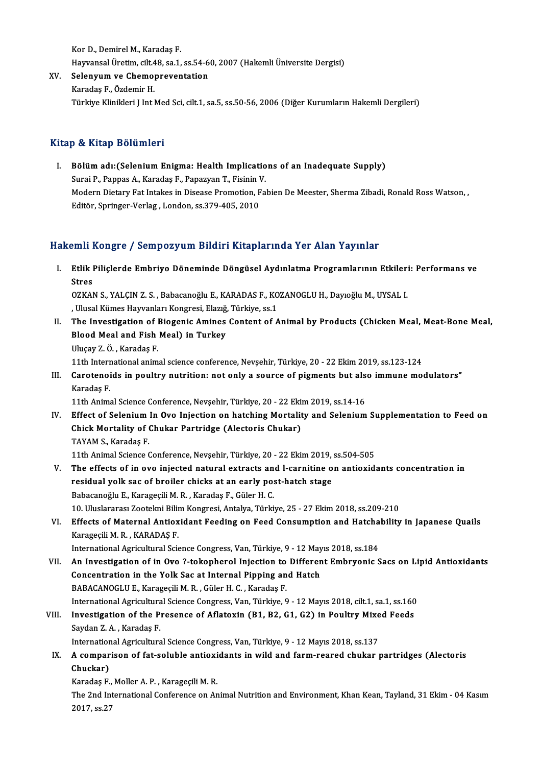Kor D., Demirel M., Karadaş F. HayvansalÜretim, cilt.48, sa.1, ss.54-60,2007 (HakemliÜniversiteDergisi) Kor D., Demirel M., Karadaş F.<br>Hayvansal Üretim, cilt.48, sa.1, ss.54-6<br>XV. Selenyum ve Chemopreventation

Hayvansal Üretim, cilt.4<br>Selen<mark>yum ve Chemo</mark><br>Karadaş F., Özdemir H.<br>Türkiye Klinikleri Lint l Karadaş F., Özdemir H.<br>Türkiye Klinikleri J Int Med Sci, cilt.1, sa.5, ss.50-56, 2006 (Diğer Kurumların Hakemli Dergileri)

## Kitap & Kitap Bölümleri

Itap & Kitap Bölümleri<br>I. Bölüm adı:(Selenium Enigma: Health Implications of an Inadequate Supply)<br>Sursi B. Pannas A. Karadas E. Panagyan T. Eisinin V. p. & Kreep. Bordmior I<br>Bölüm adı: (Selenium Enigma: Health Implicatio<br>Surai P., Pappas A., Karadaş F., Papazyan T., Fisinin V.<br>Modern Distery Est Intelses in Disease Premetien, Fel Bölüm adı:(Selenium Enigma: Health Implications of an Inadequate Supply)<br>Surai P., Pappas A., Karadaş F., Papazyan T., Fisinin V.<br>Modern Dietary Fat Intakes in Disease Promotion, Fabien De Meester, Sherma Zibadi, Ronald Ro Surai P., Pappas A., Karadaş F., Papazyan T., Fisinin V<br>Modern Dietary Fat Intakes in Disease Promotion, F<br>Editör, Springer-Verlag , London, ss.379-405, 2010 Editör, Springer-Verlag , London, ss.379-405, 2010<br>Hakemli Kongre / Sempozyum Bildiri Kitaplarında Yer Alan Yayınlar

akemli Kongre / Sempozyum Bildiri Kitaplarında Yer Alan Yayınlar<br>I. Etlik Piliçlerde Embriyo Döneminde Döngüsel Aydınlatma Programlarının Etkileri: Performans ve<br>Stres sini<br>Etlik I<br>Stres<br>07KA1 Etlik Piliçlerde Embriyo Döneminde Döngüsel Aydınlatma Programlarının Etkiler:<br>Stres<br>OZKAN S., YALÇIN Z. S. , Babacanoğlu E., KARADAS F., KOZANOGLU H., Dayıoğlu M., UYSAL I.<br>Ulucal Kümes Hayyanları Kongresi, Flazığ, Türkiy

Stres<br>OZKAN S., YALÇIN Z. S. , Babacanoğlu E., KARADAS F., KO<br>, Ulusal Kümes Hayvanları Kongresi, Elazığ, Türkiye, ss.1<br>The Investigation of Biogenis Amines Content of A

- OZKAN S., YALÇIN Z. S. , Babacanoğlu E., KARADAS F., KOZANOGLU H., Dayıoğlu M., UYSAL I.<br>II. The Investigation of Biogenic Amines Content of Animal by Products (Chicken Meal, Meat-Bone Meal,<br>Rland Meal and Eish Meal) i , Ulusal Kümes Hayvanları Kongresi, Elazığ,<br>The Investigation of Biogenic Amines<br>Blood Meal and Fish Meal) in Turkey<br><sup>Hlucov 7. Ö.</sup> Karedas E The Investigation of I<br>Blood Meal and Fish<br>Uluçay Z.Ö., Karadaş F.<br>11th International anim 11th Internationaland Fish Meal) in Turkey<br>11th International animal science conference, Nevşehir, Türkiye, 20 - 22 Ekim 2019, ss.123-124<br>Carataneids in neultry putrition: net enly a seurse of nisments but also immune me
	-

Uluçay Z. Ö. , Karadaş F.<br>11th International animal science conference, Nevşehir, Türkiye, 20 - 22 Ekim 2019, ss.123-124<br>III. Carotenoids in poultry nutrition: not only a source of pigments but also immune modulators"<br>Kara 11th Intern<br>Carotenoi<br>Karadaş F. Carotenoids in poultry nutrition: not only a source of pigments but als<br>Karadaş F.<br>11th Animal Science Conference, Nevşehir, Türkiye, 20 - 22 Ekim 2019, ss.14-16<br>Fffect of Solonium In Ove Injection on batching Mortelity an

Karadaş F.<br>11th Animal Science Conference, Nevşehir, Türkiye, 20 - 22 Ekim 2019, ss.14-16<br>IV. Effect of Selenium In Ovo Injection on hatching Mortality and Selenium Supplementation to Feed on<br>Chiek Mortality of Chukar Bort 11th Animal Science Conference, Nevşehir, Türkiye, 20 - 22 Ekir<br>Effect of Selenium In Ovo Injection on hatching Mortalit<br>Chick Mortality of Chukar Partridge (Alectoris Chukar)<br>TAVAM S. Karadas E Effect of Selenium<br>Chick Mortality of (<br>TAYAM S., Karadaş F.<br>11th Animal Scianas ( 11th Animal Science Chukar Partridge (Alectoris Chukar)<br>TAYAM S., Karadaş F.<br>11th Animal Science Conference, Nevşehir, Türkiye, 20 - 22 Ekim 2019, ss.504-505

- V. The effects of in ovo injected natural extracts and l-carnitine on antioxidants concentration in 11th Animal Science Conference, Nevşehir, Türkiye, 20 - 22 Ekim 2019,<br>The effects of in ovo injected natural extracts and l-carnitine of<br>residual yolk sac of broiler chicks at an early post-hatch stage<br>Babasaneğlu E. Karag The effects of in ovo injected natural extracts an<br>residual yolk sac of broiler chicks at an early po:<br>Babacanoğlu E., Karageçili M. R. , Karadaş F., Güler H. C.<br>10 Uluslararası Zootalmi Bilim Kongresi Antalya Türki Babacanoğlu E., Karageçili M. R. , Karadaş F., Güler H. C.<br>10. Uluslararası Zootekni Bilim Kongresi, Antalya, Türkiye, 25 - 27 Ekim 2018, ss.209-210 Babacanoğlu E., Karageçili M. R. , Karadaş F., Güler H. C.<br>10. Uluslararası Zootekni Bilim Kongresi, Antalya, Türkiye, 25 - 27 Ekim 2018, ss.209-210<br>VI. Effects of Maternal Antioxidant Feeding on Feed Consumption and Hatch
- 10. Uluslararası Zootekni Bilin<br>Effects of Maternal Antiox<br>Karageçili M. R. , KARADAŞ F.<br>International Agricultural Scie Effects of Maternal Antioxidant Feeding on Feed Consumption and Hatcha<br>Karageçili M. R. , KARADAŞ F.<br>International Agricultural Science Congress, Van, Türkiye, 9 - 12 Mayıs 2018, ss.184<br>An Investigation of in Ove 2 tekenbe Karageçili M. R., KARADAŞ F.<br>International Agricultural Science Congress, Van, Türkiye, 9 - 12 Mayıs 2018, ss.184<br>VII. An Investigation of in Ovo ?-tokopherol Injection to Different Embryonic Sacs on Lipid Antioxidants

International Agricultural Science Congress, Van, Türkiye, 9 - 12 May<br>An Investigation of in Ovo ?-tokopherol Injection to Differen<br>Concentration in the Yolk Sac at Internal Pipping and Hatch<br>RARACANOCLUE Karagasili M. B. An Investigation of in Ovo ?-tokopherol Injection to<br>Concentration in the Yolk Sac at Internal Pipping an<br>BABACANOGLUE., Karageçili M.R., Güler H.C., Karadaş F.<br>International Agricultural Science Congress Van Türkiye S Concentration in the Yolk Sac at Internal Pipping and Hatch<br>BABACANOGLU E., Karageçili M. R. , Güler H. C. , Karadaş F.<br>International Agricultural Science Congress, Van, Türkiye, 9 - 12 Mayıs 2018, cilt.1, sa.1, ss.160<br>Inv BABACANOGLU E., Karageçili M. R. , Güler H. C. , Karadaş F.<br>International Agricultural Science Congress, Van, Türkiye, 9 - 12 Mayıs 2018, cilt.1, sa.1, ss.160<br>VIII. Investigation of the Presence of Aflatoxin (B1, B2, G1, G

## International Agricultura<br>Investigation of the P:<br>Saydan Z. A. , Karadaş F.<br>International Agriculture Investigation of the Presence of Aflatoxin (B1, B2, G1, G2) in Poultry Mixe<br>Saydan Z. A. , Karadaş F.<br>International Agricultural Science Congress, Van, Türkiye, 9 - 12 Mayıs 2018, ss.137<br>A samnarisan of fat saluble antioxi

## Saydan Z. A. , Karadaş F.<br>International Agricultural Science Congress, Van, Türkiye, 9 - 12 Mayıs 2018, ss.137<br>IX. A comparison of fat-soluble antioxidants in wild and farm-reared chukar partridges (Alectoris Internation<br>A compar<br>Chuckar)<br>Kanadaa E A comparison of fat-soluble antioxi<br>Chuckar)<br>Karadaş F., Moller A. P. , Karageçili M. R.<br>The 2nd International Conference on Ar

Karadaş F., Moller A. P., Karageçili M. R.

Chuckar)<br>Karadaş F., Moller A. P. , Karageçili M. R.<br>The 2nd International Conference on Animal Nutrition and Environment, Khan Kean, Tayland, 31 Ekim - 04 Kasım<br>2017, ss.27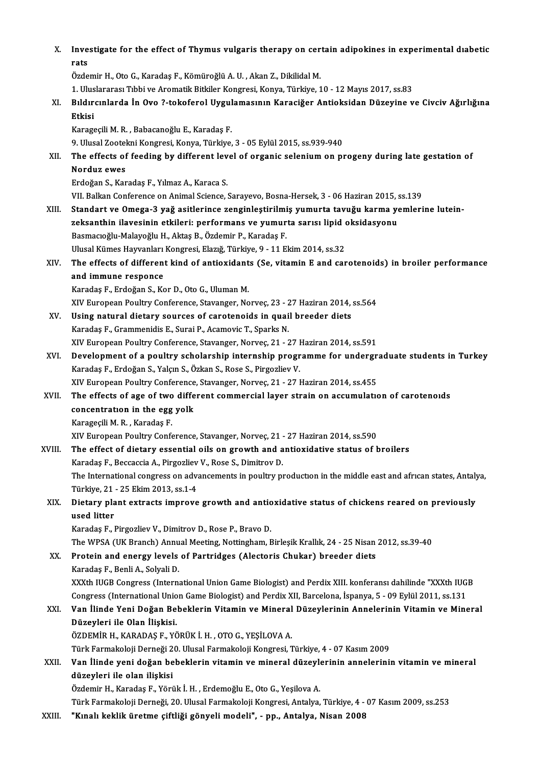| Х.     | Investigate for the effect of Thymus vulgaris therapy on certain adipokines in experimental diabetic<br>rats                                                                       |
|--------|------------------------------------------------------------------------------------------------------------------------------------------------------------------------------------|
|        | Özdemir H., Oto G., Karadaş F., Kömüroğlü A. U., Akan Z., Dikilidal M.                                                                                                             |
|        | 1. Uluslararası Tıbbi ve Aromatik Bitkiler Kongresi, Konya, Türkiye, 10 - 12 Mayıs 2017, ss.83                                                                                     |
| XI.    | Bıldırcınlarda İn Ovo ?-tokoferol Uygulamasının Karaciğer Antioksidan Düzeyine ve Civciv Ağırlığına<br>Etkisi                                                                      |
|        | Karageçili M. R., Babacanoğlu E., Karadaş F.                                                                                                                                       |
|        | 9. Ulusal Zootekni Kongresi, Konya, Türkiye, 3 - 05 Eylül 2015, ss.939-940                                                                                                         |
| XII.   | The effects of feeding by different level of organic selenium on progeny during late gestation of                                                                                  |
|        | Norduz ewes                                                                                                                                                                        |
|        | Erdoğan S., Karadaş F., Yılmaz A., Karaca S.                                                                                                                                       |
|        | VII. Balkan Conference on Animal Science, Sarayevo, Bosna-Hersek, 3 - 06 Haziran 2015, ss.139                                                                                      |
| XIII.  | Standart ve Omega-3 yağ asitlerince zenginleştirilmiş yumurta tavuğu karma yemlerine lutein-                                                                                       |
|        | zeksanthin ilavesinin etkileri: performans ve yumurta sarısı lipid oksidasyonu                                                                                                     |
|        | Basmacıoğlu-Malayoğlu H., Aktaş B., Özdemir P., Karadaş F.                                                                                                                         |
|        | Ulusal Kümes Hayvanları Kongresi, Elazığ, Türkiye, 9 - 11 Ekim 2014, ss.32                                                                                                         |
| XIV.   | The effects of different kind of antioxidants (Se, vitamin E and carotenoids) in broiler performance                                                                               |
|        | and immune responce                                                                                                                                                                |
|        | Karadaş F., Erdoğan S., Kor D., Oto G., Uluman M.                                                                                                                                  |
|        | XIV European Poultry Conference, Stavanger, Norveç, 23 - 27 Haziran 2014, ss.564                                                                                                   |
| XV.    | Using natural dietary sources of carotenoids in quail breeder diets                                                                                                                |
|        | Karadaş F., Grammenidis E., Surai P., Acamovic T., Sparks N.                                                                                                                       |
| XVI.   | XIV European Poultry Conference, Stavanger, Norveç, 21 - 27 Haziran 2014, ss 591<br>Development of a poultry scholarship internship programme for undergraduate students in Turkey |
|        | Karadaş F., Erdoğan S., Yalçın S., Özkan S., Rose S., Pirgozliev V.                                                                                                                |
|        | XIV European Poultry Conference, Stavanger, Norveç, 21 - 27 Haziran 2014, ss.455                                                                                                   |
| XVII.  | The effects of age of two different commercial layer strain on accumulation of carotenoids                                                                                         |
|        | concentration in the egg yolk                                                                                                                                                      |
|        | Karageçili M. R., Karadaş F.                                                                                                                                                       |
|        | XIV European Poultry Conference, Stavanger, Norveç, 21 - 27 Haziran 2014, ss 590                                                                                                   |
| XVIII. | The effect of dietary essential oils on growth and antioxidative status of broilers                                                                                                |
|        | Karadaș F., Beccaccia A., Pirgozliev V., Rose S., Dimitrov D.                                                                                                                      |
|        | The International congress on advancements in poultry production in the middle east and african states, Antalya,                                                                   |
|        | Türkiye, 21 - 25 Ekim 2013, ss 1-4                                                                                                                                                 |
| XIX.   | Dietary plant extracts improve growth and antioxidative status of chickens reared on previously                                                                                    |
|        | used litter                                                                                                                                                                        |
|        | Karadaş F., Pirgozliev V., Dimitrov D., Rose P., Bravo D.<br>The WPSA (UK Branch) Annual Meeting, Nottingham, Birleşik Krallık, 24 - 25 Nisan 2012, ss.39-40                       |
| XX.    | Protein and energy levels of Partridges (Alectoris Chukar) breeder diets                                                                                                           |
|        | Karadaş F, Benli A, Solyali D.                                                                                                                                                     |
|        | XXXth IUGB Congress (International Union Game Biologist) and Perdix XIII. konferansı dahilinde "XXXth IUGB                                                                         |
|        | Congress (International Union Game Biologist) and Perdix XII, Barcelona, İspanya, 5 - 09 Eylül 2011, ss.131                                                                        |
| XXI.   | Van İlinde Yeni Doğan Bebeklerin Vitamin ve Mineral Düzeylerinin Annelerinin Vitamin ve Mineral                                                                                    |
|        | Düzeyleri ile Olan İlişkisi.                                                                                                                                                       |
|        | ÖZDEMİR H., KARADAŞ F., YÖRÜK İ. H. , OTO G., YEŞİLOVA A.                                                                                                                          |
|        | Türk Farmakoloji Derneği 20. Ulusal Farmakoloji Kongresi, Türkiye, 4 - 07 Kasım 2009                                                                                               |
| XXII.  | Van İlinde yeni doğan bebeklerin vitamin ve mineral düzeylerinin annelerinin vitamin ve mineral                                                                                    |
|        | düzeyleri ile olan ilişkisi                                                                                                                                                        |
|        | Özdemir H., Karadaş F., Yörük İ. H. , Erdemoğlu E., Oto G., Yeşilova A.                                                                                                            |
|        | Türk Farmakoloji Derneği, 20. Ulusal Farmakoloji Kongresi, Antalya, Türkiye, 4 - 07 Kasım 2009, ss.253                                                                             |
| VVIII  | "Vunal: kakiik ünetme aiftliği gönyeli modeli" un Antolye Nicen 2009                                                                                                               |

XXIII. "Kınalı keklik üretme çiftliği gönyeli modeli", - pp., Antalya, Nisan 2008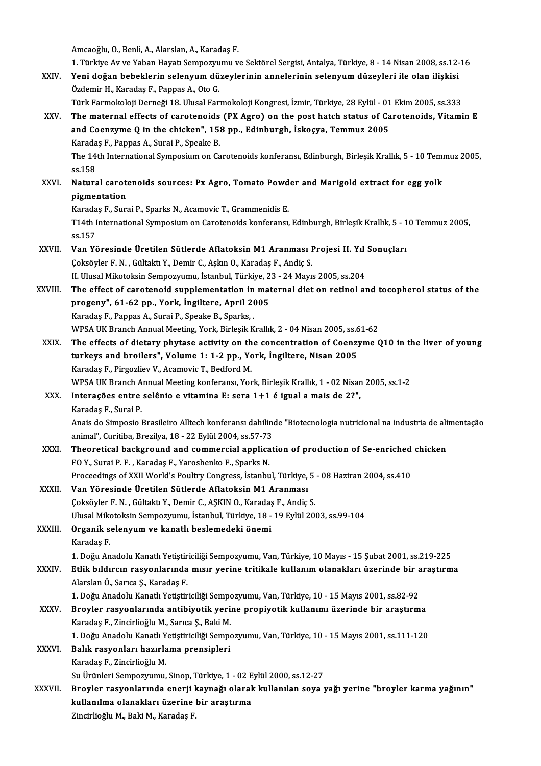|               | Amcaoğlu, O., Benli, A., Alarslan, A., Karadaş F.                                                                                                        |
|---------------|----------------------------------------------------------------------------------------------------------------------------------------------------------|
|               | 1. Türkiye Av ve Yaban Hayatı Sempozyumu ve Sektörel Sergisi, Antalya, Türkiye, 8 - 14 Nisan 2008, ss.12-16                                              |
| XXIV.<br>XXV. | Yeni doğan bebeklerin selenyum düzeylerinin annelerinin selenyum düzeyleri ile olan ilişkisi<br>Özdemir H., Karadaş F., Pappas A., Oto G.                |
|               | Türk Farmokoloji Derneği 18. Ulusal Farmokoloji Kongresi, İzmir, Türkiye, 28 Eylül - 01 Ekim 2005, ss.333                                                |
|               | The maternal effects of carotenoids (PX Agro) on the post hatch status of Carotenoids, Vitamin E                                                         |
|               | and Coenzyme Q in the chicken", 158 pp., Edinburgh, İskoçya, Temmuz 2005                                                                                 |
|               | Karadaş F., Pappas A., Surai P., Speake B.                                                                                                               |
|               | The 14th International Symposium on Carotenoids konferansı, Edinburgh, Birleşik Krallık, 5 - 10 Temmuz 2005,                                             |
|               | ss 158                                                                                                                                                   |
| XXVI.         | Natural carotenoids sources: Px Agro, Tomato Powder and Marigold extract for egg yolk                                                                    |
|               | pigmentation                                                                                                                                             |
|               | Karadaş F., Surai P., Sparks N., Acamovic T., Grammenidis E.                                                                                             |
|               | T14th International Symposium on Carotenoids konferansı, Edinburgh, Birleşik Krallık, 5 - 10 Temmuz 2005,                                                |
|               | ss 157                                                                                                                                                   |
| XXVII.        | Van Yöresinde Üretilen Sütlerde Aflatoksin M1 Aranması Projesi II. Yıl Sonuçları                                                                         |
|               | Çoksöyler F. N., Gültaktı Y., Demir C., Aşkın O., Karadaş F., Andiç S.                                                                                   |
|               | II. Ulusal Mikotoksin Sempozyumu, İstanbul, Türkiye, 23 - 24 Mayıs 2005, ss.204                                                                          |
| XXVIII.       | The effect of carotenoid supplementation in maternal diet on retinol and tocopherol status of the                                                        |
|               | progeny", 61-62 pp., York, Ingiltere, April 2005                                                                                                         |
|               | Karadaş F., Pappas A., Surai P., Speake B., Sparks,.                                                                                                     |
|               | WPSA UK Branch Annual Meeting, York, Birleşik Krallık, 2 - 04 Nisan 2005, ss.61-62                                                                       |
| XXIX.         | The effects of dietary phytase activity on the concentration of Coenzyme Q10 in the liver of young                                                       |
|               | turkeys and broilers", Volume 1: 1-2 pp., York, Ingiltere, Nisan 2005                                                                                    |
|               | Karadaş F., Pirgozliev V., Acamovic T., Bedford M.                                                                                                       |
|               | WPSA UK Branch Annual Meeting konferansı, York, Birleşik Krallık, 1 - 02 Nisan 2005, ss.1-2                                                              |
| XXX.          | Interações entre selênio e vitamina E: sera 1+1 é igual a mais de 2?",                                                                                   |
|               | Karadaş F, Surai P                                                                                                                                       |
|               | Anais do Simposio Brasileiro Alltech konferansı dahilinde "Biotecnologia nutricional na industria de alimentação                                         |
|               | animal", Curitiba, Brezilya, 18 - 22 Eylül 2004, ss 57-73                                                                                                |
| XXXI.         | Theoretical background and commercial application of production of Se-enriched chicken                                                                   |
|               | FOY, Surai P.F., Karadaş F., Yaroshenko F., Sparks N.                                                                                                    |
|               | Proceedings of XXII World's Poultry Congress, İstanbul, Türkiye, 5 - 08 Haziran 2004, ss.410<br>Van Yöresinde Üretilen Sütlerde Aflatoksin M1 Aranması   |
| XXXII.        |                                                                                                                                                          |
|               | Çoksöyler F. N., Gültaktı Y., Demir C., AŞKIN O., Karadaş F., Andiç S.<br>Ulusal Mikotoksin Sempozyumu, İstanbul, Türkiye, 18 - 19 Eylül 2003, ss.99-104 |
| XXXIII.       | Organik selenyum ve kanatlı beslemedeki önemi                                                                                                            |
|               | Karadaş F.                                                                                                                                               |
|               | 1. Doğu Anadolu Kanatlı Yetiştiriciliği Sempozyumu, Van, Türkiye, 10 Mayıs - 15 Şubat 2001, ss.219-225                                                   |
| <b>XXXIV</b>  | Etlik bıldırcın rasyonlarında mısır yerine tritikale kullanım olanakları üzerinde bir araştırma                                                          |
|               | Alarslan Ö., Sarıca Ş., Karadaş F.                                                                                                                       |
|               | 1. Doğu Anadolu Kanatlı Yetiştiriciliği Sempozyumu, Van, Türkiye, 10 - 15 Mayıs 2001, ss.82-92                                                           |
| <b>XXXV</b>   | Broyler rasyonlarında antibiyotik yerine propiyotik kullanımı üzerinde bir araştırma                                                                     |
|               | Karadaş F., Zincirlioğlu M., Sarıca Ş., Baki M.                                                                                                          |
|               | 1. Doğu Anadolu Kanatlı Yetiştiriciliği Sempozyumu, Van, Türkiye, 10 - 15 Mayıs 2001, ss.111-120                                                         |
| <b>XXXVI</b>  | Balık rasyonları hazırlama prensipleri                                                                                                                   |
|               | Karadaş F., Zincirlioğlu M.                                                                                                                              |
|               | Su Ürünleri Sempozyumu, Sinop, Türkiye, 1 - 02 Eylül 2000, ss 12-27                                                                                      |
| XXXVII.       | Broyler rasyonlarında enerji kaynağı olarak kullanılan soya yağı yerine "broyler karma yağının"                                                          |
|               | kullanılma olanakları üzerine bir araştırma                                                                                                              |
|               | Zincirlioğlu M., Baki M., Karadaş F.                                                                                                                     |
|               |                                                                                                                                                          |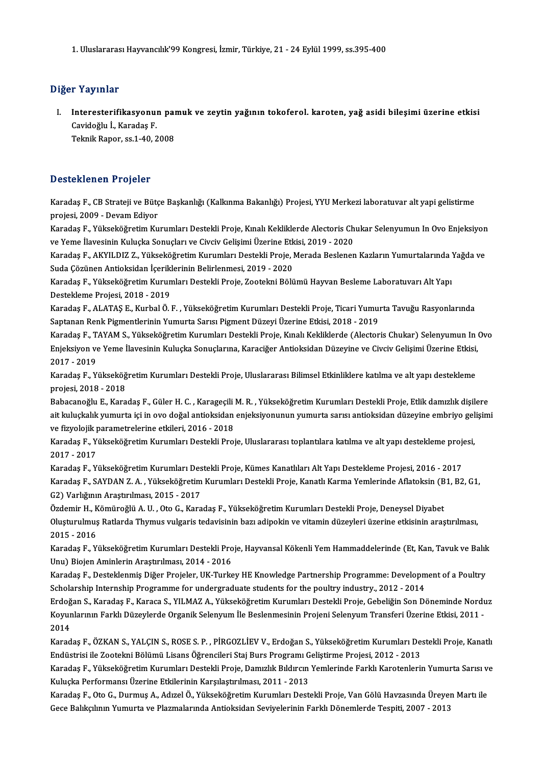1.UluslararasıHayvancılık'99Kongresi, İzmir,Türkiye,21 -24Eylül1999, ss.395-400

### Diğer Yayınlar

iğer Yayınlar<br>I. Interesterifikasyonun pamuk ve zeytin yağının tokoferol. karoten, yağ asidi bileşimi üzerine etkisi<br>Gavideğlu İ. Karadas E r Tuy milli<br>Interesterifikasyonu:<br>Cavidoğlu İ., Karadaş F.<br>Telmik Baner ss 1 40, 2 I<mark>nteresterifikasyonun paı</mark><br>Cavidoğlu İ., Karadaş F.<br>Teknik Rapor, ss.1-40, 2008

# Teknik Rapor, ss.1-40, 2008<br>Desteklenen Projeler

Desteklenen Projeler<br>Karadaş F., CB Strateji ve Bütçe Başkanlığı (Kalkınma Bakanlığı) Projesi, YYU Merkezi laboratuvar alt yapi gelistirme<br>Projesi 2009 - Davam Ediver projesi, CB Strateji ve Bütç<br>Karadaş F., CB Strateji ve Bütç<br>projesi, 2009 - Devam Ediyor Karadaş F., CB Strateji ve Bütçe Başkanlığı (Kalkınma Bakanlığı) Projesi, YYU Merkezi laboratuvar alt yapi gelistirme<br>projesi, 2009 - Devam Ediyor<br>Karadaş F., Yükseköğretim Kurumları Destekli Proje, Kınalı Kekliklerde Alec

projesi, 2009 - Devam Ediyor<br>Karadaş F., Yükseköğretim Kurumları Destekli Proje, Kınalı Kekliklerde Alectoris Ch<br>ve Yeme İlavesinin Kuluçka Sonuçları ve Civciv Gelişimi Üzerine Etkisi, 2019 - 2020<br>Karadaş E. AKVILDIZ Z. Yü Karadaş F., Yükseköğretim Kurumları Destekli Proje, Kınalı Kekliklerde Alectoris Chukar Selenyumun In Ovo Enjeksiyon<br>ve Yeme İlavesinin Kuluçka Sonuçları ve Civciv Gelişimi Üzerine Etkisi, 2019 - 2020<br>Karadaş F., AKYILDIZ

ve Yeme İlavesinin Kuluçka Sonuçları ve Civciv Gelişimi Üzerine Etkisi, 2019 - 2020<br>Karadaş F., AKYILDIZ Z., Yükseköğretim Kurumları Destekli Proje, Merada Beslenen Kazların Yumurtalarında Yağda ve<br>Suda Cözünen Antioksidan Karadaş F., AKYILDIZ Z., Yükseköğretim Kurumları Destekli Proje, Merada Beslenen Kazların Yumurtalarında '<br>Suda Çözünen Antioksidan İçeriklerinin Belirlenmesi, 2019 - 2020<br>Karadaş F., Yükseköğretim Kurumları Destekli Proje

Suda Çözünen Antioksidan İçerikl<br>Karadaş F., Yükseköğretim Kurun<br>Destekleme Projesi, 2018 - 2019<br>Karadas F., ALATAS F., Kurbal Ö. I Karadaş F., Yükseköğretim Kurumları Destekli Proje, Zootekni Bölümü Hayvan Besleme Laboratuvarı Alt Yapı<br>Destekleme Projesi, 2018 - 2019<br>Karadaş F., ALATAŞ E., Kurbal Ö. F. , Yükseköğretim Kurumları Destekli Proje, Ticari

Destekleme Projesi, 2018 - 2019<br>Karadaş F., ALATAŞ E., Kurbal Ö. F. , Yükseköğretim Kurumları Destekli Proje, Ticari Yumurta Tavuğu Rasyonlarında<br>Saptanan Renk Pigmentlerinin Yumurta Sarısı Pigment Düzeyi Üzerine Etkisi, 2 Karadaş F., ALATAŞ E., Kurbal Ö. F. , Yükseköğretim Kurumları Destekli Proje, Ticari Yumurta Tavuğu Rasyonlarında<br>Saptanan Renk Pigmentlerinin Yumurta Sarısı Pigment Düzeyi Üzerine Etkisi, 2018 - 2019<br>Karadaş F., TAYAM S.,

Saptanan Renk Pigmentlerinin Yumurta Sarısı Pigment Düzeyi Üzerine Etkisi, 2018 - 2019<br>Karadaş F., TAYAM S., Yükseköğretim Kurumları Destekli Proje, Kınalı Kekliklerde (Alectoris Chukar) Selenyumun In<br>Enjeksiyon ve Yeme İl Karadaş F., T.<br>Enjeksiyon ve<br>2017 - 2019<br>Karadas E. V. Enjeksiyon ve Yeme İlavesinin Kuluçka Sonuçlarına, Karaciğer Antioksidan Düzeyine ve Civciv Gelişimi Üzerine Etkisi,<br>2017 - 2019<br>Karadaş F., Yükseköğretim Kurumları Destekli Proje, Uluslararası Bilimsel Etkinliklere katılm

Karadaş F., Yükseköğretim Kurumları Destekli Proje, Uluslararası Bilimsel Etkinliklere katılma ve alt yapı destekleme Karadaş F., Yükseköğretim Kurumları Destekli Proje, Uluslararası Bilimsel Etkinliklere katılma ve alt yapı destekleme<br>projesi, 2018 - 2018<br>Babacanoğlu E., Karadaş F., Güler H. C. , Karageçili M. R. , Yükseköğretim Kurumlar

projesi, 2018 - 2018<br>Babacanoğlu E., Karadaş F., Güler H. C. , Karageçili M. R. , Yükseköğretim Kurumları Destekli Proje, Etlik damızlık dişilere<br>ait kuluçkalık yumurta içi in ovo doğal antioksidan enjeksiyonunun yumurta s Babacanoğlu E., Karadaş F., Güler H. C. , Karageçili<br>ait kuluçkalık yumurta içi in ovo doğal antioksidan<br>ve fizyolojik parametrelerine etkileri, 2016 - 2018<br>Karadas E. Vülreltöğretim Kurumları Destakli Broi ait kuluçkalık yumurta içi in ovo doğal antioksidan enjeksiyonunun yumurta sarısı antioksidan düzeyine embriyo gel<br>ve fizyolojik parametrelerine etkileri, 2016 - 2018<br>Karadaş F., Yükseköğretim Kurumları Destekli Proje, Ulu

ve fizyolojik <u>p</u><br>Karadaş F., Y<br>2017 - 2017<br>Karadas E. Y Karadaş F., Yükseköğretim Kurumları Destekli Proje, Uluslararası toplantılara katılma ve alt yapı destekleme proj<br>2017 - 2017<br>Karadaş F., Yükseköğretim Kurumları Destekli Proje, Kümes Kanatlıları Alt Yapı Destekleme Projes

2017 - 2017<br>Karadaş F., Yükseköğretim Kurumları Destekli Proje, Kümes Kanatlıları Alt Yapı Destekleme Projesi, 2016 - 2017<br>Karadaş F., SAYDAN Z. A. , Yükseköğretim Kurumları Destekli Proje, Kanatlı Karma Yemlerinde Aflatok Karadaş F., Yükseköğretim Kurumları Des<br>Karadaş F., SAYDAN Z. A. , Yükseköğretim<br>G2) Varlığının Araştırılması, 2015 - 2017<br>Özdemir H. Kömüroğlü A. H., Ote C. Kara Karadaş F., SAYDAN Z. A. , Yükseköğretim Kurumları Destekli Proje, Kanatlı Karma Yemlerinde Aflatoksin (B<br>G2) Varlığının Araştırılması, 2015 - 2017<br>Özdemir H., Kömüroğlü A. U. , Oto G., Karadaş F., Yükseköğretim Kurumları

G2) Varlığının Araştırılması, 2015 - 2017<br>Özdemir H., Kömüroğlü A. U. , Oto G., Karadaş F., Yükseköğretim Kurumları Destekli Proje, Deneysel Diyabet<br>Oluşturulmuş Ratlarda Thymus vulgaris tedavisinin bazı adipokin ve vitami Özdemir H., K<br>Oluşturulmuş<br>2015 - 2016<br>Karadas E. V. Oluşturulmuş Ratlarda Thymus vulgaris tedavisinin bazı adipokin ve vitamin düzeyleri üzerine etkisinin araştırılması,<br>2015 - 2016<br>Karadaş F., Yükseköğretim Kurumları Destekli Proje, Hayvansal Kökenli Yem Hammaddelerinde (E

2015 - 2016<br>Karadaş F., Yükseköğretim Kurumları Destekli Proje, Hayvansal Kökenli Yem Hammaddelerinde (Et, Kan, Tavuk ve Balık<br>Unu) Biojen Aminlerin Araştırılması, 2014 - 2016 Karadaş F., Yükseköğretim Kurumları Destekli Proje, Hayvansal Kökenli Yem Hammaddelerinde (Et, Kan, Tavuk ve Balık<br>Unu) Biojen Aminlerin Araştırılması, 2014 - 2016<br>Karadaş F., Desteklenmiş Diğer Projeler, UK-Turkey HE Know

Unu) Biojen Aminlerin Araştırılması, 2014 - 2016<br>Karadaş F., Desteklenmiş Diğer Projeler, UK-Turkey HE Knowledge Partnership Programme: Developm<br>Scholarship Internship Programme for undergraduate students for the poultry i Karadaş F., Desteklenmiş Diğer Projeler, UK-Turkey HE Knowledge Partnership Programme: Development of a Poultry<br>Scholarship Internship Programme for undergraduate students for the poultry industry., 2012 - 2014<br>Erdoğan S.,

Scholarship Internship Programme for undergraduate students for the poultry industry., 2012 - 2014<br>Erdoğan S., Karadaş F., Karaca S., YILMAZ A., Yükseköğretim Kurumları Destekli Proje, Gebeliğin Son Döneminde Nordı<br>Koyunla Erdoğ<br>Koyur<br>2014<br>Karad Koyunlarının Farklı Düzeylerde Organik Selenyum İle Beslenmesinin Projeni Selenyum Transferi Üzerine Etkisi, 2011 -<br>2014<br>Karadaş F., ÖZKAN S., YALÇIN S., ROSE S. P. , PİRGOZLİEV V., Erdoğan S., Yükseköğretim Kurumları Dest

2014<br>Karadaş F., ÖZKAN S., YALÇIN S., ROSE S. P. , PİRGOZLİEV V., Erdoğan S., Yükseköğretim Kurumları De.<br>Endüstrisi ile Zootekni Bölümü Lisans Öğrencileri Staj Burs Programı Geliştirme Projesi, 2012 - 2013<br>Karadaş E. Yüks Karadaş F., ÖZKAN S., YALÇIN S., ROSE S. P. , PİRGOZLİEV V., Erdoğan S., Yükseköğretim Kurumları Destekli Proje, Kanatlı<br>Endüstrisi ile Zootekni Bölümü Lisans Öğrencileri Staj Burs Programı Geliştirme Projesi, 2012 - 2013<br>

Endüstrisi ile Zootekni Bölümü Lisans Öğrencileri Staj Burs Programı Geliştirme Projesi, 2012 - 2013<br>Karadaş F., Yükseköğretim Kurumları Destekli Proje, Damızlık Bıldırcın Yemlerinde Farklı Karotenlerin Yumurta Sarısı ve<br>K Karadaş F., Yükseköğretim Kurumları Destekli Proje, Damızlık Bıldırcın Yemlerinde Farklı Karotenlerin Yumurta Sarısı v<br>Kuluçka Performansı Üzerine Etkilerinin Karşılaştırılması, 2011 - 2013<br>Karadaş F., Oto G., Durmuş A., A

Kuluçka Performansı Üzerine Etkilerinin Karşılaştırılması, 2011 - 2013<br>Karadaş F., Oto G., Durmuş A., Adızel Ö., Yükseköğretim Kurumları Destekli Proje, Van Gölü Havzasında Üreyeı<br>Gece Balıkçılının Yumurta ve Plazmalarında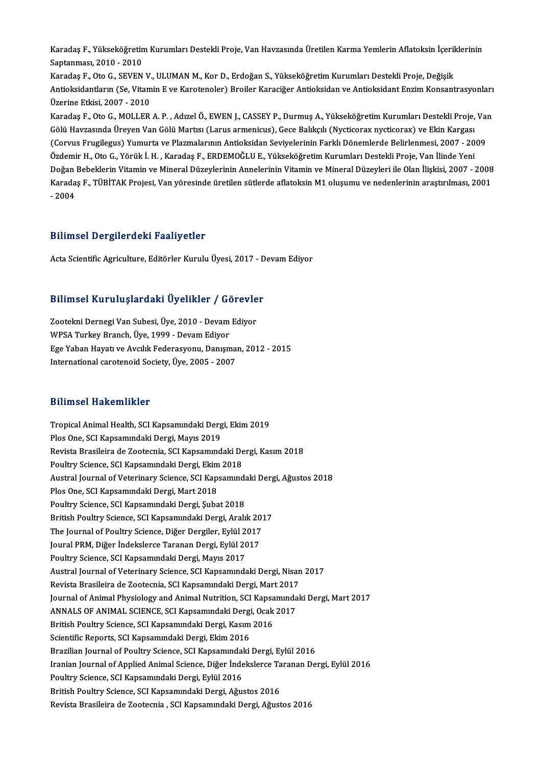Karadaş F., Yükseköğretim Kurumları Destekli Proje, Van Havzasında Üretilen Karma Yemlerin Aflatoksin İçeriklerinin<br>Santanması, 2010, 2010 Karadaş F., Yükseköğretin<br>Saptanması, 2010 - 2010<br>Karadas F. Ota C. SEVEN Karadaş F., Yükseköğretim Kurumları Destekli Proje, Van Havzasında Üretilen Karma Yemlerin Aflatoksin İçeril<br>Saptanması, 2010 - 2010<br>Karadaş F., Oto G., SEVEN V., ULUMAN M., Kor D., Erdoğan S., Yükseköğretim Kurumları Dest

Saptanması, 2010 - 2010<br>Karadaş F., Oto G., SEVEN V., ULUMAN M., Kor D., Erdoğan S., Yükseköğretim Kurumları Destekli Proje, Değişik<br>Antioksidantların (Se, Vitamin E ve Karotenoler) Broiler Karaciğer Antioksidan ve Antioks Karadaş F., Oto G., SEVEN V., ULUMAN M., Kor D., Erdoğan S., Yükseköğretim Kurumları Destekli Proje, Değişik<br>Antioksidantların (Se, Vitamin E ve Karotenoler) Broiler Karaciğer Antioksidan ve Antioksidant Enzim Konsant<br>Üzer Antioksidantların (Se, Vitamin E ve Karotenoler) Broiler Karaciğer Antioksidan ve Antioksidant Enzim Konsantrasyonları<br>Üzerine Etkisi, 2007 - 2010<br>Karadaş F., Oto G., MOLLER A. P. , Adızel Ö., EWEN J., CASSEY P., Durmuş A.

Üzerine Etkisi, 2007 - 2010<br>Karadaş F., Oto G., MOLLER A. P. , Adızel Ö., EWEN J., CASSEY P., Durmuş A., Yükseköğretim Kurumları Destekli Proje,<br>Gölü Havzasında Üreyen Van Gölü Martısı (Larus armenicus), Gece Balıkçılı (Ny Karadaş F., Oto G., MOLLER A. P. , Adızel Ö., EWEN J., CASSEY P., Durmuş A., Yükseköğretim Kurumları Destekli Proje, Va<br>Gölü Havzasında Üreyen Van Gölü Martısı (Larus armenicus), Gece Balıkçılı (Nycticorax nycticorax) ve E Gölü Havzasında Üreyen Van Gölü Martısı (Larus armenicus), Gece Balıkçılı (Nycticorax nycticorax) ve Ekin Kargası<br>(Corvus Frugilegus) Yumurta ve Plazmalarının Antioksidan Seviyelerinin Farklı Dönemlerde Belirlenmesi, 2007 (Corvus Frugilegus) Yumurta ve Plazmalarının Antioksidan Seviyelerinin Farklı Dönemlerde Belirlenmesi, 2007 - 2009<br>Özdemir H., Oto G., Yörük İ. H. , Karadaş F., ERDEMOĞLU E., Yükseköğretim Kurumları Destekli Proje, Van İli Özdemir H., Oto G., Yörük İ. H. , Karadaş F., ERDEMOĞLU E., Yükseköğretim Kurumları Destekli Proje, Van İlinde Yeni<br>Doğan Bebeklerin Vitamin ve Mineral Düzeylerinin Annelerinin Vitamin ve Mineral Düzeyleri ile Olan İlişkis Doğan<br>Karada<br>- 2004

# - 2004<br>Bilimsel Dergilerdeki Faaliyetler

Acta Scientific Agriculture, Editörler Kurulu Üyesi, 2017 - Devam Ediyor

# Acta Scientinc Agriculture, Editorier Kurulu Oyesi, 2017 - D<br>Bilimsel Kuruluşlardaki Üyelikler / Görevler

Bilimsel Kuruluşlardaki Üyelikler / Görevle<br>Zootekni Dernegi Van Subesi, Üye, 2010 - Devam Ediyor<br>WBSA Turkey Pranch Üye, 1999 - Devam Ediyor Zootekni Dernegi Van Subesi, Üye, 2010 - Devam Ediyor<br>WPSA Turkey Branch, Üye, 1999 - Devam Ediyor Zootekni Dernegi Van Subesi, Üye, 2010 - Devam Ediyor<br>WPSA Turkey Branch, Üye, 1999 - Devam Ediyor<br>Ege Yaban Hayatı ve Avcılık Federasyonu, Danışman, 2012 - 2015<br>International sarataneid Sesisty, Üye, 2005 - 2007 WPSA Turkey Branch, Üye, 1999 - Devam Ediyor<br>Ege Yaban Hayatı ve Avcılık Federasyonu, Danışma<br>International carotenoid Society, Üye, 2005 - 2007 International carotenoid Society, Üye, 2005 - 2007<br>Bilimsel Hakemlikler

Bilimsel Hakemlikler<br>Tropical Animal Health, SCI Kapsamındaki Dergi, Ekim 2019<br>Plas One, SCI Kapsamındaki Dergi, Mayıs 2019 Plannoof Hunchmand<br>Tropical Animal Health, SCI Kapsamındaki Derg<br>Plos One, SCI Kapsamındaki Dergi, Mayıs 2019<br>Bevista Presileire de Zeaternia, SCI Kapsamınd Tropical Animal Health, SCI Kapsamındaki Dergi, Ekim 2019<br>Plos One, SCI Kapsamındaki Dergi, Mayıs 2019<br>Revista Brasileira de Zootecnia, SCI Kapsamındaki Dergi, Kasım 2018<br>Peultry Science, SCI Kansamındaki Dergi, Ekim 2019 Plos One, SCI Kapsamındaki Dergi, Mayıs 2019<br>Revista Brasileira de Zootecnia, SCI Kapsamındaki De<br>Poultry Science, SCI Kapsamındaki Dergi, Ekim 2018<br>Austral Journal of Veterinary Science, SCI Kapsamınd Revista Brasileira de Zootecnia, SCI Kapsamındaki Dergi, Kasım 2018<br>Poultry Science, SCI Kapsamındaki Dergi, Ekim 2018<br>Austral Journal of Veterinary Science, SCI Kapsamındaki Dergi, Ağustos 2018<br>Ples One, SCI Kapsamındaki Poultry Science, SCI Kapsamındaki Dergi, Ekim 2018<br>Austral Journal of Veterinary Science, SCI Kapsamınd<br>Plos One, SCI Kapsamındaki Dergi, Mart 2018<br>Poultry Science, SCI Kapsamındaki Dergi, Subat 2018 Austral Journal of Veterinary Science, SCI Kapsamında<br>Plos One, SCI Kapsamındaki Dergi, Mart 2018<br>Poultry Science, SCI Kapsamındaki Dergi, Şubat 2018<br>Pritish Poultry Science, SCI Kapsamındaki Dergi, Aralı British Poultry Science, SCI Kapsamındaki Dergi, Aralık 2017 Poultry Science, SCI Kapsamındaki Dergi, Şubat 2018<br>British Poultry Science, SCI Kapsamındaki Dergi, Aralık 201<br>The Journal of Poultry Science, Diğer Dergiler, Eylül 2017<br>Journl PPM, Diğer İndekslerse Taranan Dergi, Eylül British Poultry Science, SCI Kapsamındaki Dergi, Aralık 20<br>The Journal of Poultry Science, Diğer Dergiler, Eylül 2017<br>Joural PRM, Diğer İndekslerce Taranan Dergi, Eylül 2017<br>Poultry Science, SCI Kapsamındaki Dergi, Mayıs 2 The Journal of Poultry Science, Diğer Dergiler, Eylül 2<br>Joural PRM, Diğer İndekslerce Taranan Dergi, Eylül 20<br>Poultry Science, SCI Kapsamındaki Dergi, Mayıs 2017<br>Austral Journal of Veterinary Science, SCI Kapsamında Joural PRM, Diğer İndekslerce Taranan Dergi, Eylül 2017<br>Poultry Science, SCI Kapsamındaki Dergi, Mayıs 2017<br>Austral Journal of Veterinary Science, SCI Kapsamındaki Dergi, Nisan 2017<br>Povista Presileira de Zootecnia, SCI Kap Poultry Science, SCI Kapsamındaki Dergi, Mayıs 2017<br>Austral Journal of Veterinary Science, SCI Kapsamındaki Dergi, Nisan<br>Revista Brasileira de Zootecnia, SCI Kapsamındaki Dergi, Mart 2017<br>Journal of Animal Physiology and A Revista Brasileira de Zootecnia, SCI Kapsamındaki Dergi, Mart 2017<br>Journal of Animal Physiology and Animal Nutrition, SCI Kapsamındaki Dergi, Mart 2017 Revista Brasileira de Zootecnia, SCI Kapsamındaki Dergi, Mart 2017<br>Journal of Animal Physiology and Animal Nutrition, SCI Kapsamında<br>ANNALS OF ANIMAL SCIENCE, SCI Kapsamındaki Dergi, Ocak 2017<br>Pritish Poultry Science, SCI Journal of Animal Physiology and Animal Nutrition, SCI Kapsa<br>ANNALS OF ANIMAL SCIENCE, SCI Kapsamındaki Dergi, Ocak<br>British Poultry Science, SCI Kapsamındaki Dergi, Kasım 2016<br>Scientifie Benerte, SCI Kapsamındaki Dergi, Ek ANNALS OF ANIMAL SCIENCE, SCI Kapsamındaki Dergi<br>British Poultry Science, SCI Kapsamındaki Dergi, Kasım<br>Scientific Reports, SCI Kapsamındaki Dergi, Ekim 2016<br>Prasilian Journal of Boultry Science, SCI Kapsamındaki British Poultry Science, SCI Kapsamındaki Dergi, Kasım 2016<br>Scientific Reports, SCI Kapsamındaki Dergi, Ekim 2016<br>Brazilian Journal of Poultry Science, SCI Kapsamındaki Dergi, Eylül 2016<br>Iranian Journal of Annlied Animal S Scientific Reports, SCI Kapsamındaki Dergi, Ekim 2016<br>Brazilian Journal of Poultry Science, SCI Kapsamındaki Dergi, Eylül 2016<br>Iranian Journal of Applied Animal Science, Diğer İndekslerce Taranan Dergi, Eylül 2016<br>Poultry Brazilian Journal of Poultry Science, SCI Kapsamındal<br>Iranian Journal of Applied Animal Science, Diğer İnde<br>Poultry Science, SCI Kapsamındaki Dergi, Eylül 2016<br>Pritish Poultry Science, SCI Kansamındaki Dergi, Ağu British Poultry Science, SCI Kapsamındaki Dergi, Ağustos 2016 Revista Brasileira de Zootecnia, SCI Kapsamındaki Dergi, Ağustos 2016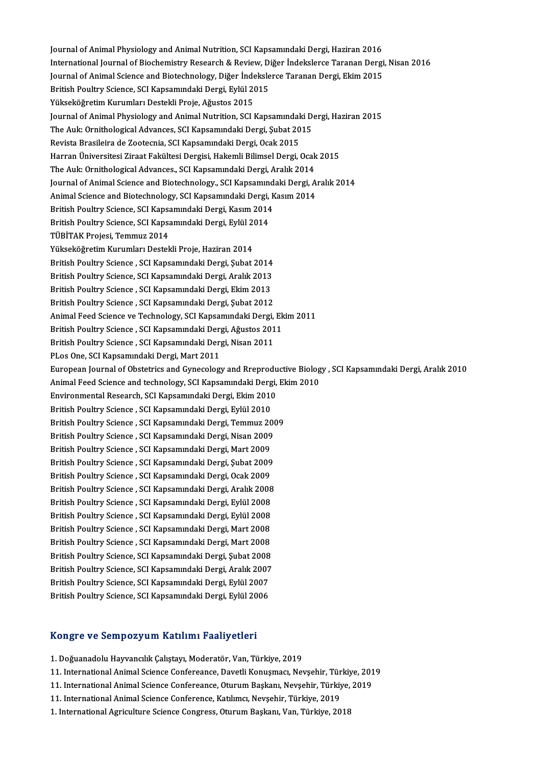Journal of Animal Physiology and Animal Nutrition, SCI Kapsamındaki Dergi, Haziran 2016<br>International Journal of Biochemistry Bossarsh & Beyjou, Dižer İndeksleres Terenan Dergi Journal of Animal Physiology and Animal Nutrition, SCI Kapsamındaki Dergi, Haziran 2016<br>International Journal of Biochemistry Research & Review, Diğer İndekslerce Taranan Dergi, Nisan 2016<br>Journal of Animal Science and Bio Journal of Animal Physiology and Animal Nutrition, SCI Kapsamındaki Dergi, Haziran 2016<br>International Journal of Biochemistry Research & Review, Diğer İndekslerce Taranan Dergi<br>Journal of Animal Science and Biotechnology, International Journal of Biochemistry Research & Review, D<br>Journal of Animal Science and Biotechnology, Diğer İndeksle<br>British Poultry Science, SCI Kapsamındaki Dergi, Eylül 2015<br>Vülgeliöğretim Kurumları Destakli Broja, Ağ Journal of Animal Science and Biotechnology, Diğer İndekslerce Taranan Dergi, Ekim 2015<br>British Poultry Science, SCI Kapsamındaki Dergi, Eylül 2015<br>Yükseköğretim Kurumları Destekli Proje, Ağustos 2015 British Poultry Science, SCI Kapsamındaki Dergi, Eylül 2015<br>Yükseköğretim Kurumları Destekli Proje, Ağustos 2015<br>Journal of Animal Physiology and Animal Nutrition, SCI Kapsamındaki Dergi, Haziran 2015<br>The Auly Ornithelogic Yükseköğretim Kurumları Destekli Proje, Ağustos 2015<br>Journal of Animal Physiology and Animal Nutrition, SCI Kapsamındaki D<br>The Auk: Ornithological Advances, SCI Kapsamındaki Dergi, Şubat 2015<br>Povista Prasileira de Zeetesni The Auk: Ornithological Advances, SCI Kapsamındaki Dergi, Şubat 2015<br>Revista Brasileira de Zootecnia, SCI Kapsamındaki Dergi, Ocak 2015 Harran Üniversitesi Ziraat Fakültesi Dergisi, Hakemli Bilimsel Dergi, Ocak 2015 Revista Brasileira de Zootecnia, SCI Kapsamındaki Dergi, Ocak 2015<br>Harran Üniversitesi Ziraat Fakültesi Dergisi, Hakemli Bilimsel Dergi, Ocak<br>The Auk: Ornithological Advances., SCI Kapsamındaki Dergi, Aralık 2014<br>Journal o Harran Üniversitesi Ziraat Fakültesi Dergisi, Hakemli Bilimsel Dergi, Ocak 2015<br>The Auk: Ornithological Advances., SCI Kapsamındaki Dergi, Aralık 2014<br>Journal of Animal Science and Biotechnology., SCI Kapsamındaki Dergi, A The Auk: Ornithological Advances., SCI Kapsamındaki Dergi, Aralık 2014<br>Journal of Animal Science and Biotechnology., SCI Kapsamındaki Dergi, A<br>Animal Science and Biotechnology, SCI Kapsamındaki Dergi, Kasım 2014<br>British Bo Journal of Animal Science and Biotechnology., SCI Kapsamınd<br>Animal Science and Biotechnology, SCI Kapsamındaki Dergi, K<br>British Poultry Science, SCI Kapsamındaki Dergi, Kasım 2014<br>British Poultry Science, SCI Kapsamındaki Animal Science and Biotechnology, SCI Kapsamındaki Dergi,<br>British Poultry Science, SCI Kapsamındaki Dergi, Kasım 2014<br>British Poultry Science, SCI Kapsamındaki Dergi, Eylül 2014<br>TÜRİTAK Projesi Temmuz 2014 British Poultry Science, SCI Kapsa<br>British Poultry Science, SCI Kapsa<br>TÜBİTAK Projesi, Temmuz 2014<br>Yükooköğretim Kunumları Destel British Poultry Science, SCI Kapsamındaki Dergi, Eylül 2<br>TÜBİTAK Projesi, Temmuz 2014<br>Yükseköğretim Kurumları Destekli Proje, Haziran 2014<br>Pritish Boultry Science, SCI Kansamındaki Dergi, Subat i TÜBİTAK Projesi, Temmuz 2014<br>Yükseköğretim Kurumları Destekli Proje, Haziran 2014<br>British Poultry Science , SCI Kapsamındaki Dergi, Şubat 2014<br>British Poultry Science, SCI Kapsamındaki Dergi, Aralık 2013 Yükseköğretim Kurumları Destekli Proje, Haziran 2014<br>British Poultry Science , SCI Kapsamındaki Dergi, Şubat 2014<br>British Poultry Science, SCI Kapsamındaki Dergi, Aralık 2013<br>British Poultry Science, SCI Kapsamındaki Dergi British Poultry Science, SCI Kapsamındaki Dergi, Aralık 2013<br>British Poultry Science , SCI Kapsamındaki Dergi, Ekim 2013 British Poultry Science, SCI Kapsamındaki Dergi, Aralık 2013<br>British Poultry Science , SCI Kapsamındaki Dergi, Ekim 2013<br>British Poultry Science , SCI Kapsamındaki Dergi, Şubat 2012<br>Animal Food Science ve Technology, SCI K Animal Feed Science ve Technology, SCI Kapsamındaki Dergi, Ekim 2011<br>British Poultry Science , SCI Kapsamındaki Dergi, Ağustos 2011 British Poultry Science , SCI Kapsamındaki Dergi, Şubat 2012<br>Animal Feed Science ve Technology, SCI Kapsamındaki Dergi, Ek<br>British Poultry Science , SCI Kapsamındaki Dergi, Ağustos 2011<br>Pritish Poultry Science , SCI Kapsam Animal Feed Science ve Technology, SCI Kapsamındaki Dergi,<br>British Poultry Science , SCI Kapsamındaki Dergi, Ağustos 201<br>British Poultry Science , SCI Kapsamındaki Dergi, Nisan 2011<br>BLes One SCI Kapsamındaki Dergi, Mart 20 British Poultry Science , SCI Kapsamındaki Der<sub>i</sub><br>British Poultry Science , SCI Kapsamındaki Der<sub>i</sub><br>PLos One, SCI Kapsamındaki Dergi, Mart 2011<br>European Journal of Obstetriss and Gunesslom British Poultry Science , SCI Kapsamındaki Dergi, Nisan 2011<br>PLos One, SCI Kapsamındaki Dergi, Mart 2011<br>European Journal of Obstetrics and Gynecology and Rreproductive Biology , SCI Kapsamındaki Dergi, Aralık 2010<br>Animal PLos One, SCI Kapsamındaki Dergi, Mart 2011<br>European Journal of Obstetrics and Gynecology and Rreproductive Biolog<br>Animal Feed Science and technology, SCI Kapsamındaki Dergi, Ekim 2010<br>Environmental Besearsh, SCI Kapsamınd European Journal of Obstetrics and Gynecology and Rreprodu<br>Animal Feed Science and technology, SCI Kapsamındaki Dergi,<br>Environmental Research, SCI Kapsamındaki Dergi, Ekim 2010<br>Pritish Poultry Science, SCI Kapsamındaki Der Animal Feed Science and technology, SCI Kapsamındaki Dergi, Ekim 2010<br>Environmental Research, SCI Kapsamındaki Dergi, Ekim 2010<br>British Poultry Science , SCI Kapsamındaki Dergi, Eylül 2010 Environmental Research, SCI Kapsamındaki Dergi, Ekim 2010<br>British Poultry Science , SCI Kapsamındaki Dergi, Eylül 2010<br>British Poultry Science , SCI Kapsamındaki Dergi, Temmuz 2009<br>British Poultry Science , SCI Kapsamındak British Poultry Science , SCI Kapsamındaki Dergi, Eylül 2010<br>British Poultry Science , SCI Kapsamındaki Dergi, Temmuz 200<br>British Poultry Science , SCI Kapsamındaki Dergi, Nisan 2009<br>British Poultry Science , SCI Kapsamınd British Poultry Science , SCI Kapsamındaki Dergi, Temmuz 20<br>British Poultry Science , SCI Kapsamındaki Dergi, Nisan 2009<br>British Poultry Science , SCI Kapsamındaki Dergi, Mart 2009<br>British Poultry Science , SCI Kapsamındak British Poultry Science , SCI Kapsamındaki Dergi, Nisan 2009<br>British Poultry Science , SCI Kapsamındaki Dergi, Mart 2009<br>British Poultry Science , SCI Kapsamındaki Dergi, Şubat 2009 British Poultry Science , SCI Kapsamındaki Dergi, Mart 2009<br>British Poultry Science , SCI Kapsamındaki Dergi, Şubat 2009<br>British Poultry Science , SCI Kapsamındaki Dergi, Ocak 2009<br>British Poultry Science , SCI Kapsamındak British Poultry Science , SCI Kapsamındaki Dergi, Şubat 2009<br>British Poultry Science , SCI Kapsamındaki Dergi, Ocak 2009<br>British Poultry Science , SCI Kapsamındaki Dergi, Aralık 2008<br>British Poultry Science , SCI Kapsamınd British Poultry Science , SCI Kapsamındaki Dergi, Ocak 2009<br>British Poultry Science , SCI Kapsamındaki Dergi, Aralık 2008<br>British Poultry Science , SCI Kapsamındaki Dergi, Eylül 2008<br>British Poultry Science , SCI Kapsamınd British Poultry Science , SCI Kapsamındaki Dergi, Aralık 2008<br>British Poultry Science , SCI Kapsamındaki Dergi, Eylül 2008<br>British Poultry Science , SCI Kapsamındaki Dergi, Eylül 2008<br>British Poultry Science , SCI Kapsamın British Poultry Science , SCI Kapsamındaki Dergi, Eylül 2008<br>British Poultry Science , SCI Kapsamındaki Dergi, Eylül 2008<br>British Poultry Science , SCI Kapsamındaki Dergi, Mart 2008<br>British Poultry Science , SCI Kapsamında British Poultry Science , SCI Kapsamındaki Dergi, Eylül 2008<br>British Poultry Science , SCI Kapsamındaki Dergi, Mart 2008<br>British Poultry Science , SCI Kapsamındaki Dergi, Mart 2008<br>British Poultry Science, SCI Kapsamındaki British Poultry Science , SCI Kapsamındaki Dergi, Mart 2008<br>British Poultry Science , SCI Kapsamındaki Dergi, Mart 2008<br>British Poultry Science, SCI Kapsamındaki Dergi, Şubat 2008<br>British Poultry Science, SCI Kapsamındaki British Poultry Science , SCI Kapsamındaki Dergi, Mart 2008<br>British Poultry Science, SCI Kapsamındaki Dergi, Şubat 2008<br>British Poultry Science, SCI Kapsamındaki Dergi, Aralık 2007<br>British Poultry Science, SCI Kapsamındaki British Poultry Science, SCI Kapsamındaki Dergi, Şubat 2008<br>British Poultry Science, SCI Kapsamındaki Dergi, Aralık 2007<br>British Poultry Science, SCI Kapsamındaki Dergi, Eylül 2006<br>British Poultry Science, SCI Kapsamındaki British Poultry Science, SCI Kapsamındaki Dergi, Aralık 2007<br>British Poultry Science, SCI Kapsamındaki Dergi, Eylül 2007<br>British Poultry Science, SCI Kapsamındaki Dergi, Eylül 2006

# British Poultry Science, SCI Kapsamındaki Dergi, Eylül 2006<br>Kongre ve Sempozyum Katılımı Faaliyetleri

1. Doğuanadolu Hayvancılık Çalıştayı, Moderatör, Van, Türkiye, 2019

11. International Animal Science Confereance, Davetli Konuşmacı, Nevşehir, Türkiye, 2019 1. Doğuanadolu Hayvancılık Çalıştayı, Moderatör, Van, Türkiye, 2019<br>11. International Animal Science Confereance, Davetli Konuşmacı, Nevşehir, Türkiye, 201<br>11. International Animal Science Confereance, Oturum Başkanı, Nevş 11. International Animal Science Confereance, Davetli Konuşmacı, Nevşehir, Tür<br>11. International Animal Science Confereance, Oturum Başkanı, Nevşehir, Türkiy<br>11. International Animal Science Conference, Katılımcı, Nevşehir

- 11. International Animal Science Confereance, Oturum Başkanı, Nevşehir, Türkiye,<br>11. International Animal Science Conference, Katılımcı, Nevşehir, Türkiye, 2019<br>1. International Agriculture Science Congress, Oturum Başkanı
- 
-